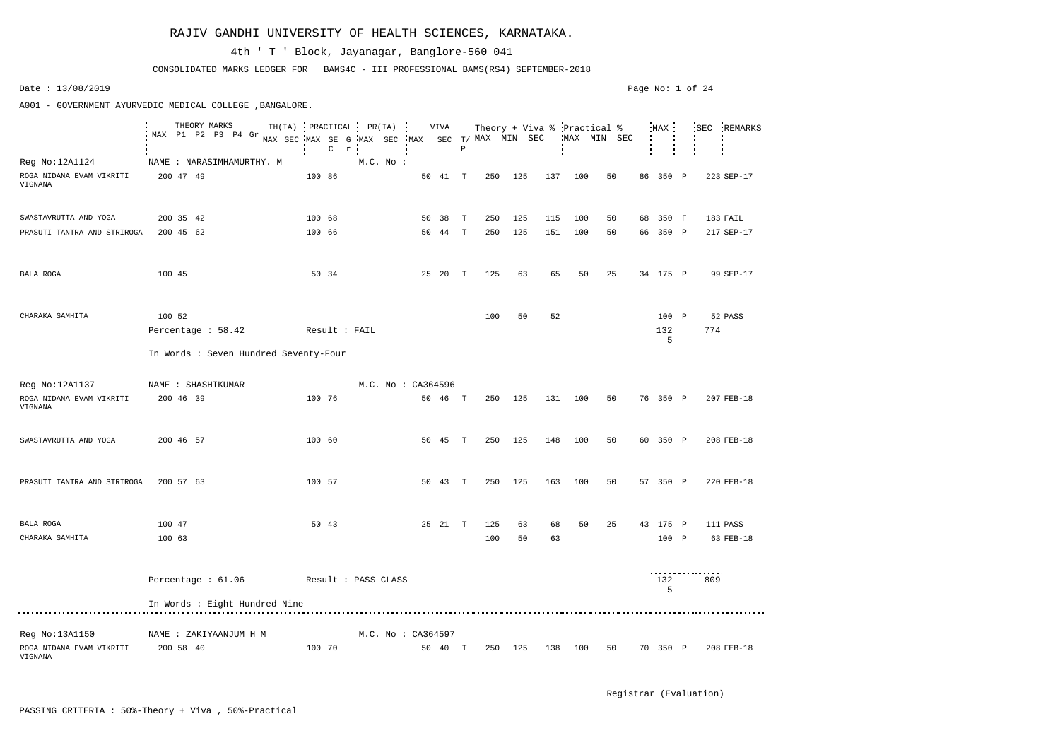|                                            |           |           | THEORY MARKS<br>MAX P1 P2 P3 P4 Gr.   |               | $TH(IA)$ PRACTICAL PR(IA) |                     | $C$ $r$ |  |                    |  | VIVA    | $\, {\bf P}$ | Theory + Viva % Practical %<br>MAX SEC MAX SE G MAX SEC MAX SEC T/MAX MIN SEC |         |     | MAX MIN SEC |    | :MAX :   | 'SEC | REMARKS    |
|--------------------------------------------|-----------|-----------|---------------------------------------|---------------|---------------------------|---------------------|---------|--|--------------------|--|---------|--------------|-------------------------------------------------------------------------------|---------|-----|-------------|----|----------|------|------------|
| Reg No:12A1124                             |           |           | NAME : NARASIMHAMURTHY. M             |               |                           |                     |         |  | $M.C.$ No :        |  |         |              |                                                                               |         |     |             |    |          |      |            |
| ROGA NIDANA EVAM VIKRITI<br>VIGNANA        |           | 200 47 49 |                                       |               |                           | 100 86              |         |  |                    |  | 50 41 T |              | 250                                                                           | 125     | 137 | 100         | 50 | 86 350 P |      | 223 SEP-17 |
|                                            |           |           |                                       |               |                           |                     |         |  |                    |  |         |              |                                                                               |         |     |             |    |          |      |            |
| SWASTAVRUTTA AND YOGA                      |           | 200 35 42 |                                       |               |                           | 100 68              |         |  |                    |  | 50 38 T |              | 250                                                                           | 125     | 115 | 100         | 50 | 68 350 F |      | 183 FAIL   |
| PRASUTI TANTRA AND STRIROGA                |           | 200 45 62 |                                       |               |                           | 100 66              |         |  |                    |  | 50 44 T |              | 250                                                                           | 125     | 151 | 100         | 50 | 66 350 P |      | 217 SEP-17 |
| BALA ROGA                                  | 100 45    |           |                                       |               |                           |                     | 50 34   |  |                    |  | 25 20 T |              | 125                                                                           | 63      | 65  | 50          | 25 | 34 175 P |      | 99 SEP-17  |
| CHARAKA SAMHITA                            | 100 52    |           |                                       |               |                           |                     |         |  |                    |  |         |              | 100                                                                           | 50      | 52  |             |    | 100 P    |      | 52 PASS    |
|                                            |           |           | Percentage : 58.42                    | Result : FAIL |                           |                     |         |  |                    |  |         |              |                                                                               |         |     |             |    | 132<br>5 | 774  |            |
|                                            |           |           | In Words : Seven Hundred Seventy-Four |               |                           |                     |         |  |                    |  |         |              |                                                                               |         |     |             |    |          |      |            |
| Reg No:12A1137                             |           |           | NAME : SHASHIKUMAR                    |               |                           |                     |         |  | M.C. No : CA364596 |  |         |              |                                                                               |         |     |             |    |          |      |            |
| ROGA NIDANA EVAM VIKRITI<br>VIGNANA        | 200 46 39 |           |                                       |               |                           | 100 76              |         |  |                    |  | 50 46 T |              | 250                                                                           | 125     | 131 | 100         | 50 | 76 350 P |      | 207 FEB-18 |
| SWASTAVRUTTA AND YOGA                      |           | 200 46 57 |                                       |               |                           | 100 60              |         |  |                    |  | 50 45 T |              | 250                                                                           | 125     | 148 | 100         | 50 | 60 350 P |      | 208 FEB-18 |
| PRASUTI TANTRA AND STRIROGA                | 200 57 63 |           |                                       |               |                           | 100 57              |         |  |                    |  | 50 43 T |              | 250                                                                           | 125     | 163 | 100         | 50 | 57 350 P |      | 220 FEB-18 |
| BALA ROGA                                  | 100 47    |           |                                       |               |                           |                     | 50 43   |  |                    |  | 25 21 T |              | 125                                                                           | 63      | 68  | 50          | 25 | 43 175 P |      | 111 PASS   |
| CHARAKA SAMHITA                            | 100 63    |           |                                       |               |                           |                     |         |  |                    |  |         |              | 100                                                                           | 50      | 63  |             |    | 100 P    |      | 63 FEB-18  |
|                                            |           |           | Percentage : 61.06                    |               |                           | Result : PASS CLASS |         |  |                    |  |         |              |                                                                               |         |     |             |    | 132<br>5 | 809  |            |
|                                            |           |           | In Words : Eight Hundred Nine         |               |                           |                     |         |  |                    |  |         |              |                                                                               |         |     |             |    |          |      |            |
|                                            |           |           |                                       |               |                           |                     |         |  |                    |  |         |              |                                                                               |         |     |             |    |          |      |            |
| Reg No:13A1150<br>ROGA NIDANA EVAM VIKRITI |           | 200 58 40 | NAME : ZAKIYAANJUM H M                |               |                           | 100 70              |         |  | M.C. No : CA364597 |  | 50 40 T |              |                                                                               | 250 125 | 138 | 100         | 50 | 70 350 P |      | 208 FEB-18 |
| VIGNANA                                    |           |           |                                       |               |                           |                     |         |  |                    |  |         |              |                                                                               |         |     |             |    |          |      |            |

CONSOLIDATED MARKS LEDGER FOR BAMS4C - III PROFESSIONAL BAMS(RS4) SEPTEMBER-2018

## 4th ' T ' Block, Jayanagar, Banglore-560 041

Date : 13/08/2019

A001 - GOVERNMENT AYURVEDIC MEDICAL COLLEGE ,BANGALORE.

#### Page No: 1 of 24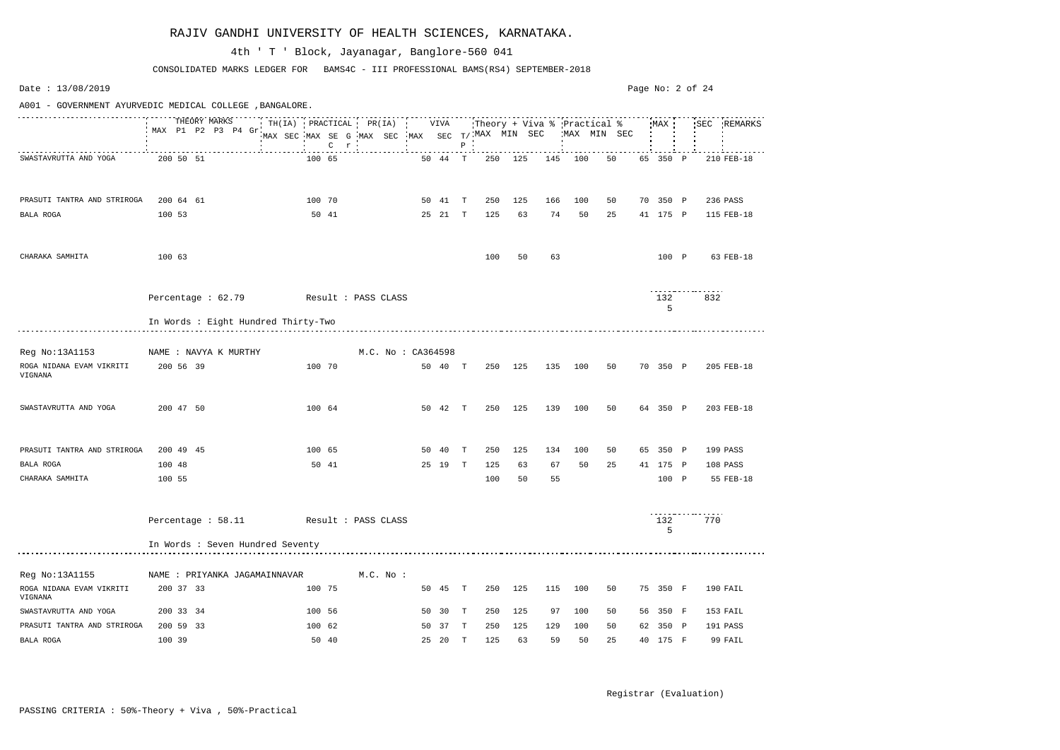Date : 13/08/2019 Page No: 2 of 24A001 - GOVERNMENT AYURVEDIC MEDICAL COLLEGE ,BANGALORE. THEORY MARKS TH(IA) PRACTICAL PR(IA) VIVA Theory + Viva % Practical % MAX SEC REMARKS MAX P1 P2 P3 P4 Gr MAX SEC MAX SE G MAX SEC MAX SEC T/ MAX MIN SEC MAX MIN SEC C r P SWASTAVRUTTA AND YOGA 200 50 51 100 65 50 44 T 250 125 145 100 50 65 350 P 210 FEB-18 PRASUTI TANTRA AND STRIROGA 200 64 61 100 70 50 41 T 250 125 166 100 50 70 350 P 236 PASS BALA ROGA 100 53 50 41 25 21 T 125 63 74 50 25 41 175 P 115 FEB-18 CHARAKA SAMHITA 100 63 100 50 63 100 P 63 FEB-18 <u>. . . . . . . . . . . . . . . . .</u> Percentage : 62.79 Result : PASS CLASS 132 832 5 In Words : Eight Hundred Thirty-Two Reg No:13A1153 NAME : NAVYA K MURTHY M.C. No : CA364598 ROGA NIDANA EVAM VIKRITI 200 56 39 100 70 50 40 T 250 125 135 100 50 70 350 P 205 FEB-18 VIGNANA SWASTAVRUTTA AND YOGA 200 47 50 100 64 50 42 T 250 125 139 100 50 64 350 P 203 FEB-18 PRASUTI TANTRA AND STRIROGA 200 49 45 100 65 50 40 T 250 125 134 100 50 65 350 P 199 PASS BALA ROGA 100 48 50 41 25 19 T 125 63 67 50 25 41 175 P 108 PASS CHARAKA SAMHITA 100 55 100 50 55 100 P 55 FEB-18 <u>. . . . . . . . . . . . . . . . .</u> Percentage : 58.11 Result : PASS CLASS 132 770 5 In Words : Seven Hundred Seventy Reg No:13A1155 NAME : PRIYANKA JAGAMAINNAVAR M.C. No : ROGA NIDANA EVAM VIKRITI 200 37 33 100 75 50 45 T 250 125 115 100 50 75 350 F 190 FAIL VIGNANA SWASTAVRUTTA AND YOGA 200 33 34 100 56 50 30 T 250 125 97 100 50 56 350 F 153 FAIL PRASUTI TANTRA AND STRIROGA 200 59 33 100 62 50 37 T 250 125 129 100 50 62 350 P 191 PASS BALA ROGA 100 39 50 40 25 20 T 125 63 59 50 25 40 175 F 99 FAIL

CONSOLIDATED MARKS LEDGER FOR BAMS4C - III PROFESSIONAL BAMS(RS4) SEPTEMBER-2018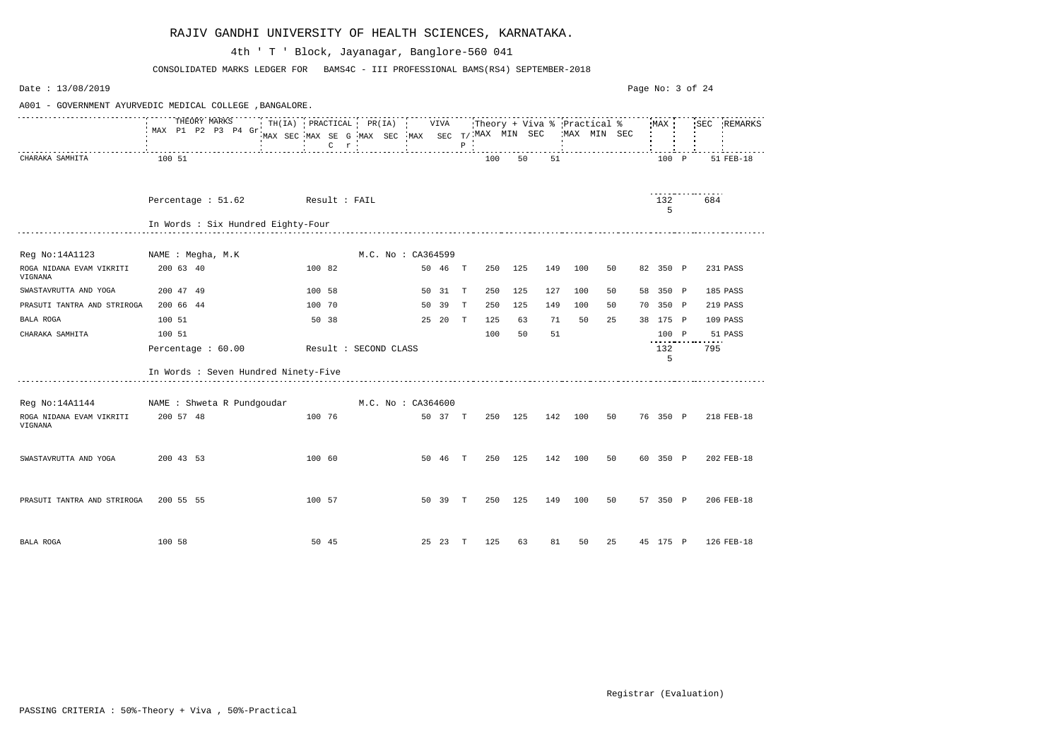| Date: 13/08/2019                    |                                                          |                                                                                           |                          |         |              |         |     |     |                                              |    | Page No: 3 of 24 |             |           |
|-------------------------------------|----------------------------------------------------------|-------------------------------------------------------------------------------------------|--------------------------|---------|--------------|---------|-----|-----|----------------------------------------------|----|------------------|-------------|-----------|
|                                     | A001 - GOVERNMENT AYURVEDIC MEDICAL COLLEGE , BANGALORE. |                                                                                           |                          |         |              |         |     |     |                                              |    |                  |             |           |
|                                     | THEORY MARKS<br>MAX P1 P2 P3 P4 Gr.                      | TH(IA) PRACTICAL PR(IA) VIVA<br>MAX SEC MAX SE G MAX SEC MAX SEC T/MAX MIN SEC<br>$C$ $r$ |                          |         | $P$ $\cdot$  |         |     |     | :Theory + Viva % :Practical %<br>MAX MIN SEC |    | MAX              | SEC REMARKS |           |
| CHARAKA SAMHITA                     | 100 51                                                   |                                                                                           |                          |         |              | 100     | 50  | 51  |                                              |    | 100 P            |             | 51 FEB-18 |
|                                     | Percentage : 51.62 Result : FAIL                         |                                                                                           |                          |         |              |         |     |     |                                              |    | 132<br>5         | 684         |           |
|                                     | In Words : Six Hundred Eighty-Four                       |                                                                                           |                          |         |              |         |     |     |                                              |    |                  |             |           |
| Reg No:14A1123                      | NAME : Megha, M.K                                        |                                                                                           | M.C. No: CA364599        |         |              |         |     |     |                                              |    |                  |             |           |
| ROGA NIDANA EVAM VIKRITI<br>VIGNANA | 200 63 40                                                | 100 82                                                                                    | 50 46                    |         | $\mathbf{T}$ | 250     | 125 | 149 | 100                                          | 50 | 82 350 P         | 231 PASS    |           |
| SWASTAVRUTTA AND YOGA               | 200 47 49                                                | 100 58                                                                                    | 50 31                    |         | T            | 250     | 125 | 127 | 100                                          | 50 | 58 350 P         | 185 PASS    |           |
| PRASUTI TANTRA AND STRIROGA         | 200 66 44                                                | 100 70                                                                                    | 50 39                    |         | T            | 250     | 125 | 149 | 100                                          | 50 | 70 350 P         | 219 PASS    |           |
| BALA ROGA                           | 100 51                                                   | 50 38                                                                                     |                          | 25 20 T |              | 125     | 63  | 71  | 50                                           | 25 | 38 175 P         | 109 PASS    |           |
| CHARAKA SAMHITA                     | 100 51                                                   |                                                                                           |                          |         |              | 100     | 50  | 51  |                                              |    | 100 P            | 51 PASS     |           |
|                                     | Percentage : 60.00                                       | Result : SECOND CLASS                                                                     |                          |         |              |         |     |     |                                              |    | 132<br>5         | 795         |           |
|                                     | In Words : Seven Hundred Ninety-Five                     |                                                                                           |                          |         |              |         |     |     |                                              |    |                  |             |           |
|                                     | Reg No:14A1144 MAME : Shweta R Pundgoudar                |                                                                                           | $M.C.$ No : $C A 364600$ |         |              |         |     |     |                                              |    |                  |             |           |
| ROGA NIDANA EVAM VIKRITI<br>VIGNANA | 200 57 48                                                | 100 76                                                                                    |                          | 50 37 T |              | 250 125 |     | 142 | 100                                          | 50 | 76 350 P         | 218 FEB-18  |           |
| SWASTAVRUTTA AND YOGA               | 200 43 53                                                | 100 60                                                                                    |                          | 50 46 T |              | 250 125 |     | 142 | 100                                          | 50 | 60 350 P         | 202 FEB-18  |           |
| PRASUTI TANTRA AND STRIROGA         | 200 55 55                                                | 100 57                                                                                    |                          | 50 39 T |              | 250     | 125 | 149 | 100                                          | 50 | 57 350 P         | 206 FEB-18  |           |
| BALA ROGA                           | 100 58                                                   | 50 45                                                                                     |                          | 25 23 T |              | 125     | 63  | 81  | 50                                           | 25 | 45 175 P         | 126 FEB-18  |           |

CONSOLIDATED MARKS LEDGER FOR BAMS4C - III PROFESSIONAL BAMS(RS4) SEPTEMBER-2018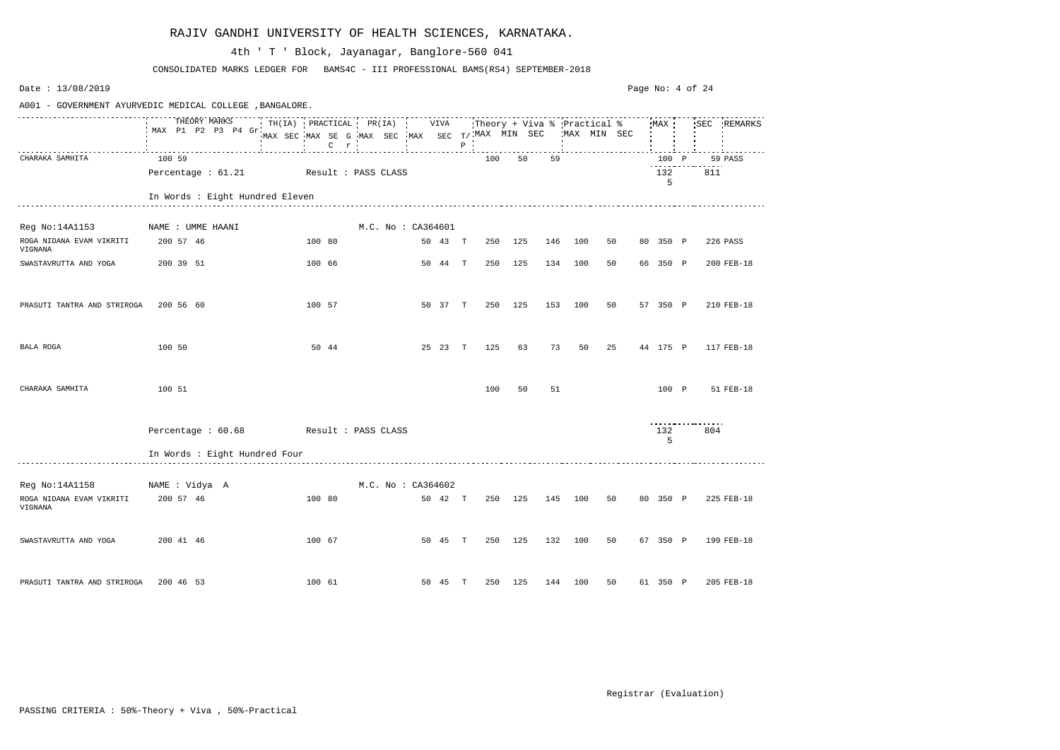| Date: 13/08/2019                                         |                                                                                                 |                                                                                     |                    |  |         |             |     |         |     |              |    | Page No: 4 of 24 |     |             |
|----------------------------------------------------------|-------------------------------------------------------------------------------------------------|-------------------------------------------------------------------------------------|--------------------|--|---------|-------------|-----|---------|-----|--------------|----|------------------|-----|-------------|
| A001 - GOVERNMENT AYURVEDIC MEDICAL COLLEGE , BANGALORE. |                                                                                                 |                                                                                     |                    |  |         |             |     |         |     |              |    |                  |     |             |
|                                                          | THEORY MARKS TH(IA) PRACTICAL PR(IA) VIVA Theory + Viva % Practical % MAX<br>MAX P1 P2 P3 P4 Gr | and the company of the<br>MAX SEC MAX SE G MAX SEC MAX SEC T/MAX MIN SEC<br>$C$ $r$ |                    |  |         | $P$ $\cdot$ |     |         |     | 'MAX MIN SEC |    |                  |     | SEC REMARKS |
| CHARAKA SAMHITA                                          | 100 59                                                                                          |                                                                                     |                    |  |         |             | 100 | 50      | 59  |              |    | 100 P            |     | 59 PASS     |
|                                                          | Percentage : 61.21 Result : PASS CLASS                                                          |                                                                                     |                    |  |         |             |     |         |     |              |    | 132<br>5         | 811 |             |
|                                                          | In Words : Eight Hundred Eleven                                                                 |                                                                                     |                    |  |         |             |     |         |     |              |    |                  |     |             |
| Reg No:14A1153                                           | NAME : UMME HAANI                                                                               |                                                                                     | M.C. No: CA364601  |  |         |             |     |         |     |              |    |                  |     |             |
| ROGA NIDANA EVAM VIKRITI<br>VIGNANA                      | 200 57 46                                                                                       | 100 80                                                                              |                    |  | 50 43 T |             | 250 | 125     | 146 | 100          | 50 | 80 350 P         |     | 226 PASS    |
| SWASTAVRUTTA AND YOGA                                    | 200 39 51                                                                                       | 100 66                                                                              |                    |  | 50 44 T |             | 250 | 125     | 134 | 100          | 50 | 66 350 P         |     | 200 FEB-18  |
| PRASUTI TANTRA AND STRIROGA                              | 200 56 60                                                                                       | 100 57                                                                              |                    |  | 50 37 T |             | 250 | 125     | 153 | 100          | 50 | 57 350 P         |     | 210 FEB-18  |
| BALA ROGA                                                | 100 50                                                                                          | 50 44                                                                               |                    |  | 25 23 T |             | 125 | 63      | 73  | 50           | 25 | 44 175 P         |     | 117 FEB-18  |
| CHARAKA SAMHITA                                          | 100 51                                                                                          |                                                                                     |                    |  |         |             | 100 | 50      | 51  |              |    | 100 P            |     | 51 FEB-18   |
|                                                          | Percentage: 60.68 Result: PASS CLASS                                                            |                                                                                     |                    |  |         |             |     |         |     |              |    | 132<br>5         | 804 |             |
|                                                          | In Words : Eight Hundred Four                                                                   |                                                                                     |                    |  |         |             |     |         |     |              |    |                  |     |             |
| Reg No:14A1158                                           | NAME : Vidya A                                                                                  |                                                                                     | M.C. No : CA364602 |  |         |             |     |         |     |              |    |                  |     |             |
| ROGA NIDANA EVAM VIKRITI<br>VIGNANA                      | 200 57 46                                                                                       | 100 80                                                                              |                    |  | 50 42 T |             |     | 250 125 | 145 | 100          | 50 | 80 350 P         |     | 225 FEB-18  |
| SWASTAVRUTTA AND YOGA                                    | 200 41 46                                                                                       | 100 67                                                                              |                    |  | 50 45 T |             |     | 250 125 | 132 | 100          | 50 | 67 350 P         |     | 199 FEB-18  |
| PRASUTI TANTRA AND STRIROGA                              | 200 46 53                                                                                       | 100 61                                                                              |                    |  | 50 45 T |             |     | 250 125 |     | 144 100      | 50 | 61 350 P         |     | 205 FEB-18  |

CONSOLIDATED MARKS LEDGER FOR BAMS4C - III PROFESSIONAL BAMS(RS4) SEPTEMBER-2018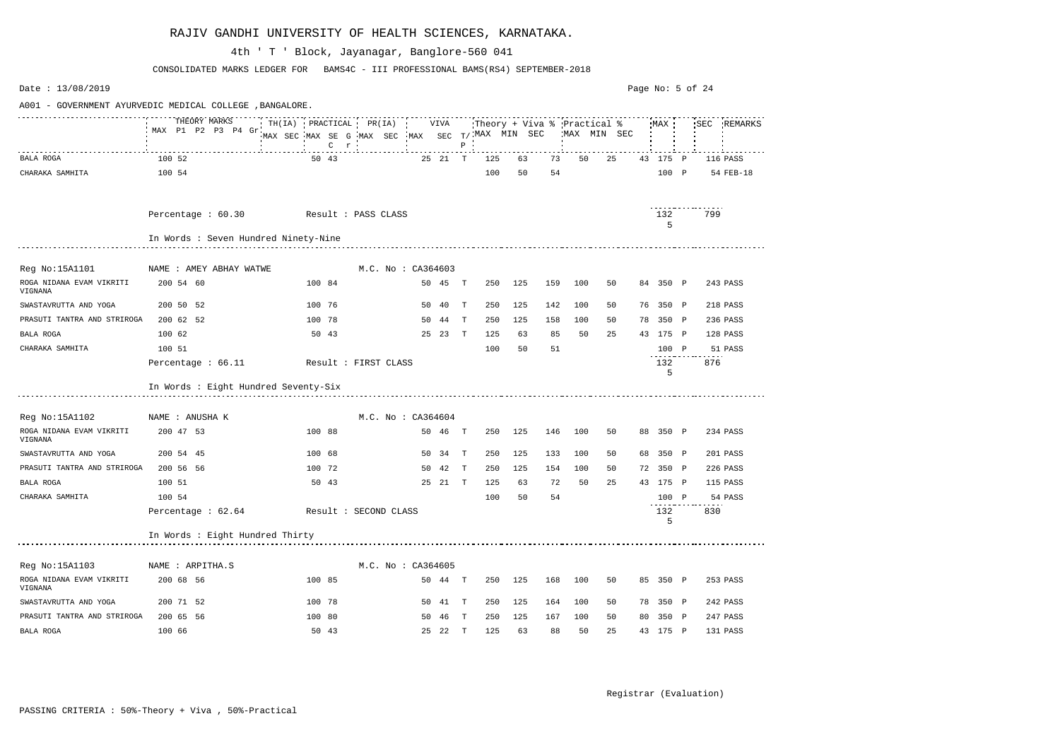| Date: 13/08/2019                                         |                                 |              |  |  |  |                                          |         |  |                    |         |              |                                                |     |    |     |                                            |    |    |          | Page No: 5 of 24 |             |
|----------------------------------------------------------|---------------------------------|--------------|--|--|--|------------------------------------------|---------|--|--------------------|---------|--------------|------------------------------------------------|-----|----|-----|--------------------------------------------|----|----|----------|------------------|-------------|
| A001 - GOVERNMENT AYURVEDIC MEDICAL COLLEGE , BANGALORE. |                                 |              |  |  |  |                                          |         |  |                    |         |              |                                                |     |    |     |                                            |    |    |          |                  |             |
|                                                          | MAX P1 P2 P3 P4 Gr              | THEORY MARKS |  |  |  | TH(IA) PRACTICAL PR(IA) VIVA             | $C$ $r$ |  |                    |         | $P$ $\vdots$ | MAX SEC MAX SE G MAX SEC MAX SEC T/MAX MIN SEC |     |    |     | Theory + Viva % Practical %<br>MAX MIN SEC |    |    | MAX      |                  | SEC REMARKS |
| BALA ROGA                                                | 100 52                          |              |  |  |  | 50 43                                    |         |  |                    | 25 21 T |              | 125                                            |     | 63 | 73  | 50                                         | 25 |    | 43 175 P |                  | 116 PASS    |
| CHARAKA SAMHITA                                          | 100 54                          |              |  |  |  |                                          |         |  |                    |         |              | 100                                            |     | 50 | 54  |                                            |    |    | 100 P    |                  | 54 FEB-18   |
|                                                          | Percentage : 60.30              |              |  |  |  | Result : PASS CLASS                      |         |  |                    |         |              |                                                |     |    |     |                                            |    |    | 132<br>5 | 799              |             |
|                                                          |                                 |              |  |  |  | In Words : Seven Hundred Ninety-Nine     |         |  |                    |         |              |                                                |     |    |     |                                            |    |    |          |                  |             |
| Reg No:15A1101                                           | NAME : AMEY ABHAY WATWE         |              |  |  |  |                                          |         |  | M.C. No: CA364603  |         |              |                                                |     |    |     |                                            |    |    |          |                  |             |
| ROGA NIDANA EVAM VIKRITI<br>VIGNANA                      |                                 | 200 54 60    |  |  |  | 100 84                                   |         |  |                    | 50 45   | $\mathbb{T}$ | 250                                            | 125 |    | 159 | 100                                        | 50 |    | 84 350 P |                  | 243 PASS    |
| SWASTAVRUTTA AND YOGA                                    |                                 | 200 50 52    |  |  |  | 100 76                                   |         |  |                    | 50 40   | T            | 250                                            | 125 |    | 142 | 100                                        | 50 |    | 76 350 P |                  | 218 PASS    |
| PRASUTI TANTRA AND STRIROGA                              |                                 | 200 62 52    |  |  |  | 100 78                                   |         |  |                    | 50 44   | $\mathbf{T}$ | 250                                            | 125 |    | 158 | 100                                        | 50 |    | 78 350 P |                  | 236 PASS    |
| BALA ROGA                                                | 100 62                          |              |  |  |  | 50 43                                    |         |  |                    | 25 23 T |              | 125                                            |     | 63 | 85  | 50                                         | 25 |    | 43 175 P |                  | 128 PASS    |
| CHARAKA SAMHITA                                          | 100 51                          |              |  |  |  |                                          |         |  |                    |         |              | 100                                            |     | 50 | 51  |                                            |    |    | 100 P    |                  | 51 PASS     |
|                                                          | Percentage : 66.11              |              |  |  |  | Result : FIRST CLASS                     |         |  |                    |         |              |                                                |     |    |     |                                            |    |    | 132<br>5 | 876              |             |
|                                                          |                                 |              |  |  |  | In Words : Eight Hundred Seventy-Six     |         |  |                    |         |              |                                                |     |    |     |                                            |    |    |          |                  |             |
| Reg No:15A1102                                           | NAME : ANUSHA K                 |              |  |  |  |                                          |         |  | M.C. No : CA364604 |         |              |                                                |     |    |     |                                            |    |    |          |                  |             |
| ROGA NIDANA EVAM VIKRITI<br>VIGNANA                      |                                 | 200 47 53    |  |  |  | 100 88                                   |         |  |                    | 50 46 T |              | 250                                            | 125 |    | 146 | 100                                        | 50 |    | 88 350 P |                  | 234 PASS    |
| SWASTAVRUTTA AND YOGA                                    |                                 | 200 54 45    |  |  |  | 100 68                                   |         |  | 50                 | 34      | $\mathbf{T}$ | 250                                            | 125 |    | 133 | 100                                        | 50 | 68 | 350 P    |                  | 201 PASS    |
| PRASUTI TANTRA AND STRIROGA                              |                                 | 200 56 56    |  |  |  | 100 72                                   |         |  |                    | 50 42   | T            | 250                                            | 125 |    | 154 | 100                                        | 50 |    | 72 350 P |                  | 226 PASS    |
| BALA ROGA                                                | 100 51                          |              |  |  |  | 50 43                                    |         |  |                    | 25 21 T |              | 125                                            |     | 63 | 72  | 50                                         | 25 |    | 43 175 P |                  | 115 PASS    |
| CHARAKA SAMHITA                                          | 100 54                          |              |  |  |  |                                          |         |  |                    |         |              | 100                                            |     | 50 | 54  |                                            |    |    | 100 P    |                  | 54 PASS     |
|                                                          |                                 |              |  |  |  | Percentage : 62.64 Result : SECOND CLASS |         |  |                    |         |              |                                                |     |    |     |                                            |    |    | 132<br>5 | 830              |             |
|                                                          | In Words : Eight Hundred Thirty |              |  |  |  |                                          |         |  |                    |         |              |                                                |     |    |     |                                            |    |    |          |                  |             |
| Reg No:15A1103                                           | NAME : ARPITHA.S                |              |  |  |  |                                          |         |  | M.C. No: CA364605  |         |              |                                                |     |    |     |                                            |    |    |          |                  |             |
| ROGA NIDANA EVAM VIKRITI<br>VIGNANA                      |                                 | 200 68 56    |  |  |  | 100 85                                   |         |  |                    | 50 44 T |              | 250                                            | 125 |    | 168 | 100                                        | 50 |    | 85 350 P |                  | 253 PASS    |
| SWASTAVRUTTA AND YOGA                                    |                                 | 200 71 52    |  |  |  | 100 78                                   |         |  |                    | 50 41 T |              | 250                                            | 125 |    | 164 | 100                                        | 50 |    | 78 350 P |                  | 242 PASS    |
| PRASUTI TANTRA AND STRIROGA                              |                                 | 200 65 56    |  |  |  | 100 80                                   |         |  |                    | 50 46 T |              | 250                                            | 125 |    | 167 | 100                                        | 50 |    | 80 350 P |                  | 247 PASS    |
| BALA ROGA                                                | 100 66                          |              |  |  |  | 50 43                                    |         |  |                    | 25 22 T |              | 125                                            |     | 63 | 88  | 50                                         | 25 |    | 43 175 P |                  | 131 PASS    |

CONSOLIDATED MARKS LEDGER FOR BAMS4C - III PROFESSIONAL BAMS(RS4) SEPTEMBER-2018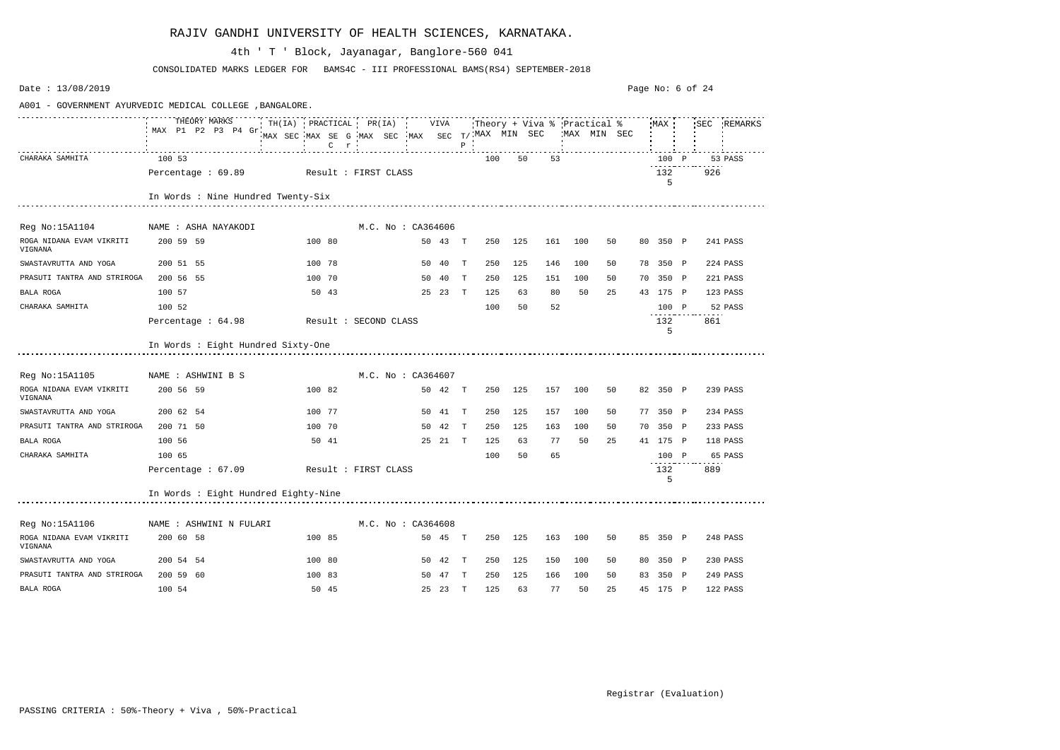| Date: 13/08/2019                                        |                                         |                              |         |                                                 |                   |         |              |                               |         |     |             |    | Page No: 6 of 24 |          |     |             |
|---------------------------------------------------------|-----------------------------------------|------------------------------|---------|-------------------------------------------------|-------------------|---------|--------------|-------------------------------|---------|-----|-------------|----|------------------|----------|-----|-------------|
| A001 - GOVERNMENT AYURVEDIC MEDICAL COLLEGE, BANGALORE. |                                         |                              |         |                                                 |                   |         |              |                               |         |     |             |    |                  |          |     |             |
|                                                         | THEORY MARKS<br>MAX P1 P2 P3 P4 Gr.     | TH(IA) PRACTICAL PR(IA) VIVA | $C$ $r$ | MAX SEC MAX SE G MAX SEC MAX SEC T/ MAX MIN SEC | $\mathbf{R}$ .    |         | $\, {\bf P}$ | :Theory + Viva % :Practical % |         |     | MAX MIN SEC |    |                  | MAX      |     | SEC REMARKS |
| CHARAKA SAMHITA                                         | 100 53                                  |                              |         |                                                 |                   |         |              | 100                           | 50      | 53  |             |    |                  | 100 P    |     | 53 PASS     |
|                                                         | Percentage : 69.89 Result : FIRST CLASS |                              |         |                                                 |                   |         |              |                               |         |     |             |    |                  | 132<br>5 | 926 |             |
|                                                         | In Words : Nine Hundred Twenty-Six      |                              |         |                                                 |                   |         |              |                               |         |     |             |    |                  |          |     |             |
| Reg No:15A1104                                          | NAME : ASHA NAYAKODI                    |                              |         |                                                 | M.C. No: CA364606 |         |              |                               |         |     |             |    |                  |          |     |             |
| ROGA NIDANA EVAM VIKRITI<br>VIGNANA                     | 200 59 59                               |                              | 100 80  |                                                 |                   | 50 43 T |              | 250                           | 125     | 161 | 100         | 50 |                  | 80 350 P |     | 241 PASS    |
| SWASTAVRUTTA AND YOGA                                   | 200 51 55                               |                              | 100 78  |                                                 |                   | 50 40 T |              | 250                           | 125     | 146 | 100         | 50 |                  | 78 350 P |     | 224 PASS    |
| PRASUTI TANTRA AND STRIROGA                             | 200 56 55                               |                              | 100 70  |                                                 |                   | 50 40   | T            | 250                           | 125     | 151 | 100         | 50 |                  | 70 350 P |     | 221 PASS    |
| BALA ROGA                                               | 100 57                                  |                              | 50 43   |                                                 |                   | 25 23 T |              | 125                           | 63      | 80  | 50          | 25 |                  | 43 175 P |     | 123 PASS    |
| CHARAKA SAMHITA                                         | 100 52                                  |                              |         |                                                 |                   |         |              | 100                           | 50      | 52  |             |    |                  | 100 P    |     | 52 PASS     |
|                                                         | Percentage : 64.98                      | Result : SECOND CLASS        |         |                                                 |                   |         |              |                               |         |     |             |    |                  | 132<br>5 | 861 |             |
|                                                         | In Words : Eight Hundred Sixty-One      |                              |         |                                                 |                   |         |              |                               |         |     |             |    |                  |          |     |             |
| Reg No:15A1105                                          | NAME : ASHWINI B S                      |                              |         |                                                 | M.C. No: CA364607 |         |              |                               |         |     |             |    |                  |          |     |             |
| ROGA NIDANA EVAM VIKRITI<br>VIGNANA                     | 200 56 59                               |                              | 100 82  |                                                 |                   | 50 42 T |              | 250                           | 125     | 157 | 100         | 50 |                  | 82 350 P |     | 239 PASS    |
| SWASTAVRUTTA AND YOGA                                   | 200 62 54                               |                              | 100 77  |                                                 |                   | 50 41 T |              | 250                           | 125     | 157 | 100         | 50 |                  | 77 350 P |     | 234 PASS    |
| PRASUTI TANTRA AND STRIROGA                             | 200 71 50                               |                              | 100 70  |                                                 |                   | 50 42   | $\mathbf{T}$ | 250                           | 125     | 163 | 100         | 50 | 70               | 350 P    |     | 233 PASS    |
| BALA ROGA                                               | 100 56                                  |                              | 50 41   |                                                 |                   | 25 21 T |              | 125                           | 63      | 77  | 50          | 25 |                  | 41 175 P |     | 118 PASS    |
| CHARAKA SAMHITA                                         | 100 65                                  |                              |         |                                                 |                   |         |              | 100                           | 50      | 65  |             |    |                  | 100 P    |     | 65 PASS     |
|                                                         | Percentage : 67.09                      |                              |         | Result : FIRST CLASS                            |                   |         |              |                               |         |     |             |    |                  | 132<br>5 | 889 |             |
|                                                         | In Words : Eight Hundred Eighty-Nine    |                              |         |                                                 |                   |         |              |                               |         |     |             |    |                  |          |     |             |
| Reg No:15A1106                                          | NAME : ASHWINI N FULARI                 |                              |         |                                                 | M.C. No: CA364608 |         |              |                               |         |     |             |    |                  |          |     |             |
| ROGA NIDANA EVAM VIKRITI<br>VIGNANA                     | 200 60 58                               |                              | 100 85  |                                                 |                   | 50 45 T |              |                               | 250 125 | 163 | 100         | 50 |                  | 85 350 P |     | 248 PASS    |
| SWASTAVRUTTA AND YOGA                                   | 200 54 54                               |                              | 100 80  |                                                 |                   | 50 42 T |              | 250                           | 125     | 150 | 100         | 50 |                  | 80 350 P |     | 230 PASS    |
| PRASUTI TANTRA AND STRIROGA                             | 200 59 60                               |                              | 100 83  |                                                 |                   | 50 47 T |              | 250                           | 125     | 166 | 100         | 50 |                  | 83 350 P |     | 249 PASS    |
| BALA ROGA                                               | 100 54                                  |                              | 50 45   |                                                 |                   | 25 23 T |              | 125                           | 63      | 77  | 50          | 25 |                  | 45 175 P |     | 122 PASS    |

CONSOLIDATED MARKS LEDGER FOR BAMS4C - III PROFESSIONAL BAMS(RS4) SEPTEMBER-2018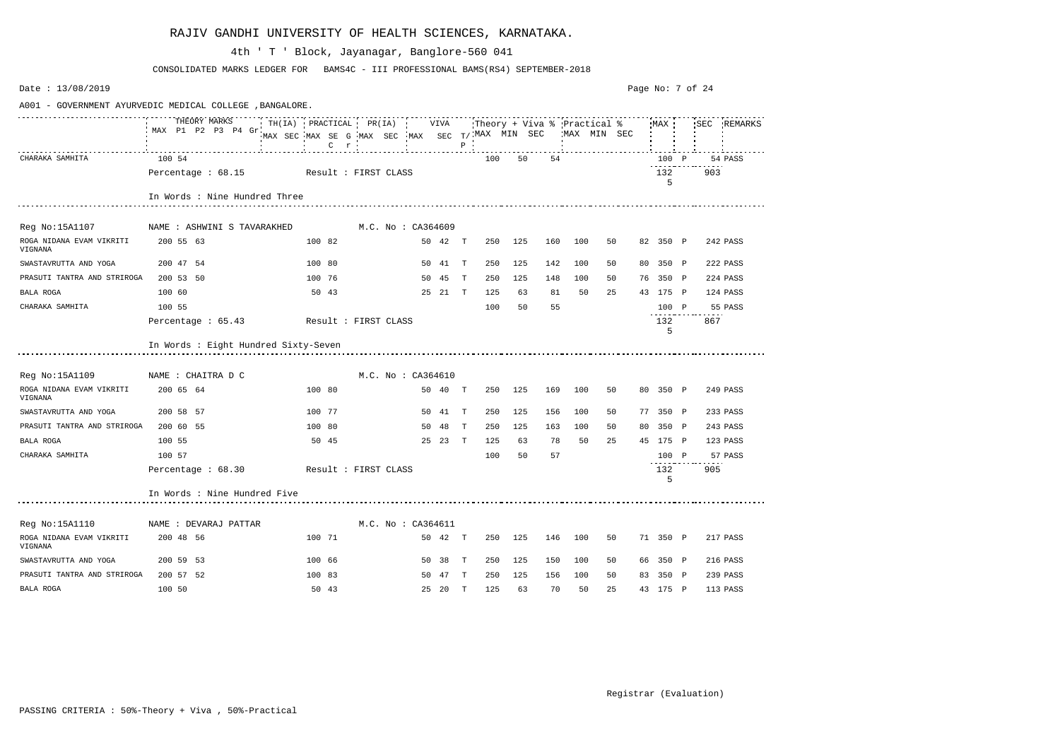| Date: 13/08/2019                                        |                                      |                                                                                           |                      |    |         |              |     |         |     |                                                                    |    | Page No: 7 of 24 |          |     |             |
|---------------------------------------------------------|--------------------------------------|-------------------------------------------------------------------------------------------|----------------------|----|---------|--------------|-----|---------|-----|--------------------------------------------------------------------|----|------------------|----------|-----|-------------|
| A001 - GOVERNMENT AYURVEDIC MEDICAL COLLEGE, BANGALORE. |                                      |                                                                                           |                      |    |         |              |     |         |     |                                                                    |    |                  |          |     |             |
|                                                         | THEORY MARKS<br>MAX P1 P2 P3 P4 Gr   | TH(IA) PRACTICAL PR(IA) VIVA<br>MAX SEC MAX SE G MAX SEC MAX SEC T/MAX MIN SEC<br>$C$ $r$ |                      |    |         | $\, {\bf P}$ |     |         |     | Theory + Viva $\frac{1}{6}$ Practical $\frac{2}{6}$<br>MAX MIN SEC |    |                  | MAX      |     | SEC REMARKS |
| CHARAKA SAMHITA                                         | 100 54                               |                                                                                           |                      |    |         |              | 100 | 50      | 54  |                                                                    |    |                  | 100 P    |     | 54 PASS     |
|                                                         | Percentage $: 68.15$                 | Result : FIRST CLASS                                                                      |                      |    |         |              |     |         |     |                                                                    |    |                  | 132<br>5 | 903 |             |
|                                                         | In Words : Nine Hundred Three        |                                                                                           |                      |    |         |              |     |         |     |                                                                    |    |                  |          |     |             |
| Reg No:15A1107                                          | NAME : ASHWINI S TAVARAKHED          |                                                                                           | M.C. No : CA364609   |    |         |              |     |         |     |                                                                    |    |                  |          |     |             |
| ROGA NIDANA EVAM VIKRITI<br>VIGNANA                     | 200 55 63                            | 100 82                                                                                    |                      |    | 50 42 T |              | 250 | 125     | 160 | 100                                                                | 50 |                  | 82 350 P |     | 242 PASS    |
| SWASTAVRUTTA AND YOGA                                   | 200 47 54                            | 100 80                                                                                    |                      |    | 50 41 T |              | 250 | 125     | 142 | 100                                                                | 50 |                  | 80 350 P |     | 222 PASS    |
| PRASUTI TANTRA AND STRIROGA                             | 200 53 50                            | 100 76                                                                                    |                      |    | 50 45   | T            | 250 | 125     | 148 | 100                                                                | 50 |                  | 76 350 P |     | 224 PASS    |
| <b>BALA ROGA</b>                                        | 100 60                               | 50 43                                                                                     |                      |    | 25 21 T |              | 125 | 63      | 81  | 50                                                                 | 25 |                  | 43 175 P |     | 124 PASS    |
| CHARAKA SAMHITA                                         | 100 55                               |                                                                                           |                      |    |         |              | 100 | 50      | 55  |                                                                    |    |                  | 100 P    |     | 55 PASS     |
|                                                         | Percentage : 65.43                   | Result : FIRST CLASS                                                                      |                      |    |         |              |     |         |     |                                                                    |    |                  | 132<br>5 | 867 |             |
|                                                         | In Words : Eight Hundred Sixty-Seven |                                                                                           |                      |    |         |              |     |         |     |                                                                    |    |                  |          |     |             |
| Reg No:15A1109                                          | NAME : CHAITRA D C                   |                                                                                           | M.C. No: CA364610    |    |         |              |     |         |     |                                                                    |    |                  |          |     |             |
| ROGA NIDANA EVAM VIKRITI<br>VIGNANA                     | 200 65 64                            | 100 80                                                                                    |                      |    | 50 40   | $\mathbb{T}$ | 250 | 125     | 169 | 100                                                                | 50 |                  | 80 350 P |     | 249 PASS    |
| SWASTAVRUTTA AND YOGA                                   | 200 58 57                            | 100 77                                                                                    |                      |    | 50 41 T |              | 250 | 125     | 156 | 100                                                                | 50 |                  | 77 350 P |     | 233 PASS    |
| PRASUTI TANTRA AND STRIROGA                             | 200 60 55                            | 100 80                                                                                    |                      | 50 | 48      | T            | 250 | 125     | 163 | 100                                                                | 50 | 80               | 350 P    |     | 243 PASS    |
| <b>BALA ROGA</b>                                        | 100 55                               | 50 45                                                                                     |                      |    | 25 23 T |              | 125 | 63      | 78  | 50                                                                 | 25 |                  | 45 175 P |     | 123 PASS    |
| CHARAKA SAMHITA                                         | 100 57                               |                                                                                           |                      |    |         |              | 100 | 50      | 57  |                                                                    |    |                  | 100 P    |     | 57 PASS     |
|                                                         | Percentage : 68.30                   |                                                                                           | Result : FIRST CLASS |    |         |              |     |         |     |                                                                    |    |                  | 132<br>5 | 905 |             |
|                                                         | In Words : Nine Hundred Five         |                                                                                           |                      |    |         |              |     |         |     |                                                                    |    |                  |          |     |             |
| Reg No:15A1110                                          | NAME : DEVARAJ PATTAR                |                                                                                           | M.C. No: CA364611    |    |         |              |     |         |     |                                                                    |    |                  |          |     |             |
| ROGA NIDANA EVAM VIKRITI<br>VIGNANA                     | 200 48 56                            | 100 71                                                                                    |                      |    | 50 42 T |              |     | 250 125 | 146 | 100                                                                | 50 |                  | 71 350 P |     | 217 PASS    |
| SWASTAVRUTTA AND YOGA                                   | 200 59 53                            | 100 66                                                                                    |                      |    | 50 38 T |              | 250 | 125     | 150 | 100                                                                | 50 |                  | 66 350 P |     | 216 PASS    |
| PRASUTI TANTRA AND STRIROGA                             | 200 57 52                            | 100 83                                                                                    |                      |    | 50 47 T |              | 250 | 125     | 156 | 100                                                                | 50 |                  | 83 350 P |     | 239 PASS    |
| BALA ROGA                                               | 100 50                               | 50 43                                                                                     |                      |    | 25 20 T |              |     | 125 63  | 70  | 50                                                                 | 25 |                  | 43 175 P |     | 113 PASS    |

CONSOLIDATED MARKS LEDGER FOR BAMS4C - III PROFESSIONAL BAMS(RS4) SEPTEMBER-2018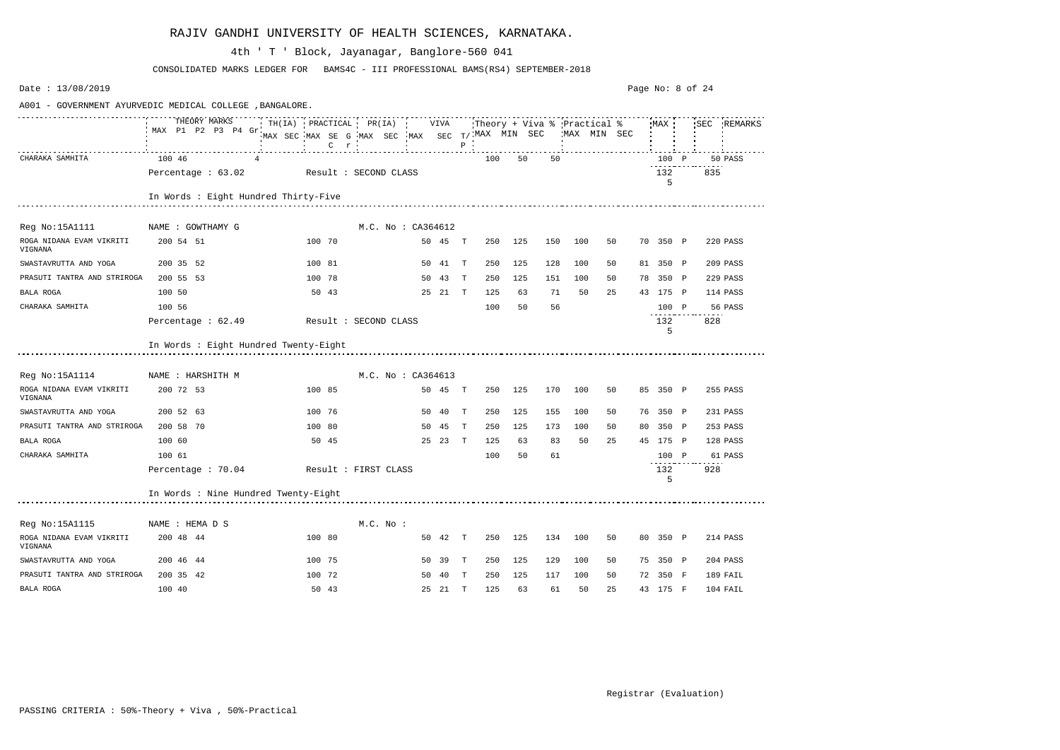| Date: 13/08/2019                                         |                                       |                                                                                                                             |                    |         |              |     |     |     |     |              | Page No: 8 of 24 |     |             |
|----------------------------------------------------------|---------------------------------------|-----------------------------------------------------------------------------------------------------------------------------|--------------------|---------|--------------|-----|-----|-----|-----|--------------|------------------|-----|-------------|
| A001 - GOVERNMENT AYURVEDIC MEDICAL COLLEGE , BANGALORE. |                                       |                                                                                                                             |                    |         |              |     |     |     |     |              |                  |     |             |
|                                                          | THEORY MARKS<br>MAX P1 P2 P3 P4 Gr    | TH(IA) PRACTICAL PR(IA) VIVA Theory + Viva % Practical % MAX :<br>MAX SEC MAX SE G MAX SEC MAX SEC T/MAX MIN SEC<br>$C$ $r$ |                    |         | $P$ $\cdot$  |     |     |     |     | 'MAX MIN SEC | MAX              |     | SEC REMARKS |
| CHARAKA SAMHITA                                          | 100 46                                |                                                                                                                             |                    |         |              | 100 | 50  |     | 50  |              | 100 P            |     | 50 PASS     |
|                                                          | Percentage : 63.02                    | Result : SECOND CLASS                                                                                                       |                    |         |              |     |     |     |     |              | 132<br>5         | 835 |             |
|                                                          | In Words : Eight Hundred Thirty-Five  |                                                                                                                             |                    |         |              |     |     |     |     |              |                  |     |             |
| Reg No:15A1111                                           | NAME : GOWTHAMY G                     |                                                                                                                             | M.C. No : CA364612 |         |              |     |     |     |     |              |                  |     |             |
| ROGA NIDANA EVAM VIKRITI<br>VIGNANA                      | 200 54 51                             | 100 70                                                                                                                      |                    | 50 45 T |              | 250 | 125 | 150 | 100 | 50           | 70 350 P         |     | 220 PASS    |
| SWASTAVRUTTA AND YOGA                                    | 200 35 52                             | 100 81                                                                                                                      |                    | 50 41   | T            | 250 | 125 | 128 | 100 | 50           | 81 350 P         |     | 209 PASS    |
| PRASUTI TANTRA AND STRIROGA                              | 200 55 53                             | 100 78                                                                                                                      |                    | 50 43   | T            | 250 | 125 | 151 | 100 | 50           | 78 350 P         |     | 229 PASS    |
| <b>BALA ROGA</b>                                         | 100 50                                | 50 43                                                                                                                       |                    | 25 21 T |              | 125 | 63  | 71  | 50  | 25           | 43 175 P         |     | 114 PASS    |
| CHARAKA SAMHITA                                          | 100 56                                |                                                                                                                             |                    |         |              | 100 | 50  |     | 56  |              | 100 P            |     | 56 PASS     |
|                                                          | Percentage : 62.49                    | Result : SECOND CLASS                                                                                                       |                    |         |              |     |     |     |     |              | 132<br>5         | 828 |             |
|                                                          | In Words : Eight Hundred Twenty-Eight |                                                                                                                             |                    |         |              |     |     |     |     |              |                  |     |             |
| Reg No:15A1114                                           | NAME : HARSHITH M                     |                                                                                                                             | M.C. No : CA364613 |         |              |     |     |     |     |              |                  |     |             |
| ROGA NIDANA EVAM VIKRITI<br>VIGNANA                      | 200 72 53                             | 100 85                                                                                                                      |                    | 50 45 T |              | 250 | 125 | 170 | 100 | 50           | 85 350 P         |     | 255 PASS    |
| SWASTAVRUTTA AND YOGA                                    | 200 52 63                             | 100 76                                                                                                                      |                    | 50 40   | T            | 250 | 125 | 155 | 100 | 50           | 76 350 P         |     | 231 PASS    |
| PRASUTI TANTRA AND STRIROGA                              | 200 58 70                             | 100 80                                                                                                                      |                    | 50 45   | T            | 250 | 125 | 173 | 100 | 50           | 80 350 P         |     | 253 PASS    |
| BALA ROGA                                                | 100 60                                | 50 45                                                                                                                       |                    | 25 23   | $\mathbf{T}$ | 125 | 63  | 83  | 50  | 25           | 45 175 P         |     | 128 PASS    |
| CHARAKA SAMHITA                                          | 100 61                                |                                                                                                                             |                    |         |              | 100 | 50  | 61  |     |              | 100 P            |     | 61 PASS     |
|                                                          | Percentage : 70.04                    | Result : FIRST CLASS                                                                                                        |                    |         |              |     |     |     |     |              | 132<br>5         | 928 |             |
|                                                          | In Words : Nine Hundred Twenty-Eight  |                                                                                                                             |                    |         |              |     |     |     |     |              |                  |     |             |
| Reg No:15A1115                                           | NAME : HEMA D S                       |                                                                                                                             | $M.C.$ No :        |         |              |     |     |     |     |              |                  |     |             |
| ROGA NIDANA EVAM VIKRITI<br>VIGNANA                      | 200 48 44                             | 100 80                                                                                                                      |                    | 50 42 T |              | 250 | 125 | 134 | 100 | 50           | 80 350 P         |     | 214 PASS    |
| SWASTAVRUTTA AND YOGA                                    | 200 46 44                             | 100 75                                                                                                                      |                    | 50 39 T |              | 250 | 125 | 129 | 100 | 50           | 75 350 P         |     | 204 PASS    |
| PRASUTI TANTRA AND STRIROGA                              | 200 35 42                             | 100 72                                                                                                                      |                    | 50 40 T |              | 250 | 125 | 117 | 100 | 50           | 72 350 F         |     | 189 FAIL    |
| BALA ROGA                                                | 100 40                                | 50 43                                                                                                                       |                    | 25 21 T |              | 125 | 63  | 61  | 50  | 25           | 43 175 F         |     | 104 FAIL    |

CONSOLIDATED MARKS LEDGER FOR BAMS4C - III PROFESSIONAL BAMS(RS4) SEPTEMBER-2018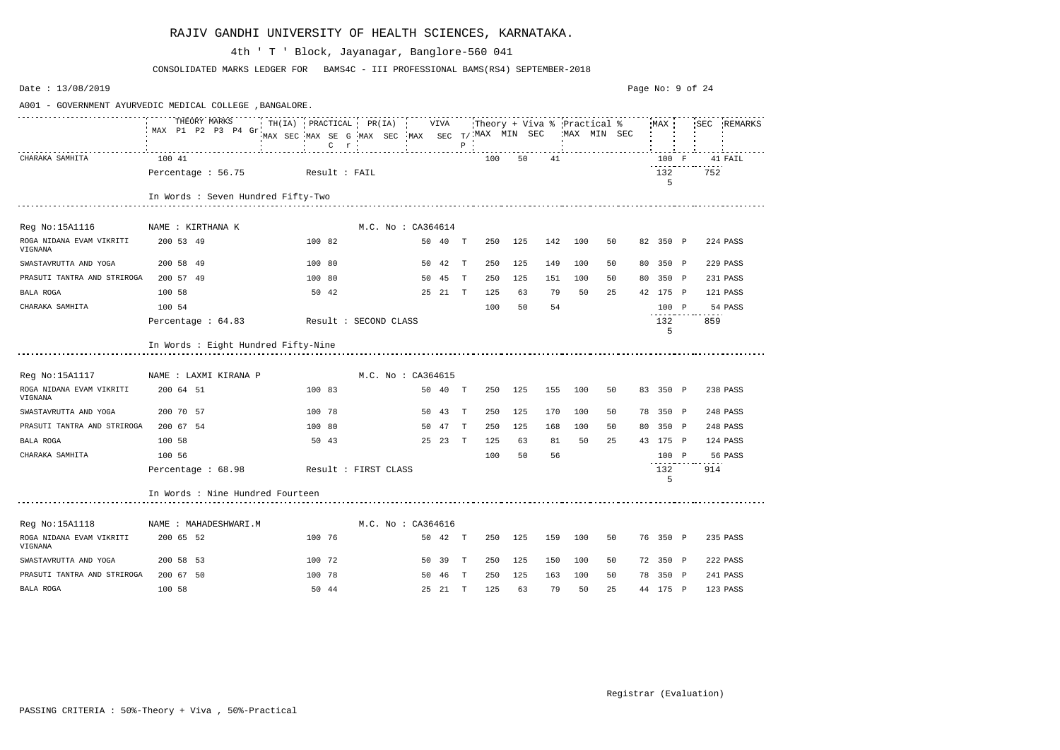| Date: 13/08/2019                                         |                                     |                                                                             |                                                                                                                    |  |                    |         |              |     |         |     |             |    | Page No: 9 of 24 |          |     |             |
|----------------------------------------------------------|-------------------------------------|-----------------------------------------------------------------------------|--------------------------------------------------------------------------------------------------------------------|--|--------------------|---------|--------------|-----|---------|-----|-------------|----|------------------|----------|-----|-------------|
| A001 - GOVERNMENT AYURVEDIC MEDICAL COLLEGE , BANGALORE. |                                     |                                                                             |                                                                                                                    |  |                    |         |              |     |         |     |             |    |                  |          |     |             |
|                                                          | THEORY MARKS<br>MAX P1 P2 P3 P4 Gr  | MAX SEC MAX SE G MAX SEC MAX SEC T/ MAX MIN SEC<br><b>Contract Contract</b> | $\frac{1}{2}$ $\ldots$ $\frac{1}{2}$ $\ldots$ $\frac{1}{2}$ $\ldots$ $\frac{1}{2}$ $\ldots$ $\frac{1}{2}$ $\ldots$ |  |                    |         |              |     |         |     | MAX MIN SEC |    |                  | MAX      |     | SEC REMARKS |
| CHARAKA SAMHITA                                          | 100 41                              |                                                                             |                                                                                                                    |  |                    |         |              | 100 | 50      | 41  |             |    |                  | 100 F    |     | 41 FAIL     |
|                                                          | Percentage : 56.75                  | Result : FAIL                                                               |                                                                                                                    |  |                    |         |              |     |         |     |             |    |                  | 132<br>5 | 752 |             |
|                                                          | In Words : Seven Hundred Fifty-Two  |                                                                             |                                                                                                                    |  |                    |         |              |     |         |     |             |    |                  |          |     |             |
| Reg No:15A1116                                           | NAME : KIRTHANA K                   |                                                                             |                                                                                                                    |  | M.C. No : CA364614 |         |              |     |         |     |             |    |                  |          |     |             |
| ROGA NIDANA EVAM VIKRITI<br>VIGNANA                      | 200 53 49                           |                                                                             | 100 82                                                                                                             |  |                    | 50 40 T |              | 250 | 125     | 142 | 100         | 50 |                  | 82 350 P |     | 224 PASS    |
| SWASTAVRUTTA AND YOGA                                    | 200 58 49                           |                                                                             | 100 80                                                                                                             |  |                    | 50 42   | T            | 250 | 125     | 149 | 100         | 50 |                  | 80 350 P |     | 229 PASS    |
| PRASUTI TANTRA AND STRIROGA                              | 200 57 49                           |                                                                             | 100 80                                                                                                             |  |                    | 50 45   | T            | 250 | 125     | 151 | 100         | 50 |                  | 80 350 P |     | 231 PASS    |
| <b>BALA ROGA</b>                                         | 100 58                              |                                                                             | 50 42                                                                                                              |  |                    | 25 21 T |              | 125 | 63      | 79  | 50          | 25 |                  | 42 175 P |     | 121 PASS    |
| CHARAKA SAMHITA                                          | 100 54                              |                                                                             |                                                                                                                    |  |                    |         |              | 100 | 50      | 54  |             |    |                  | 100 P    |     | 54 PASS     |
|                                                          | Percentage : 64.83                  |                                                                             | Result : SECOND CLASS                                                                                              |  |                    |         |              |     |         |     |             |    |                  | 132<br>5 | 859 |             |
|                                                          | In Words : Eight Hundred Fifty-Nine |                                                                             |                                                                                                                    |  |                    |         |              |     |         |     |             |    |                  |          |     |             |
| Reg No:15A1117                                           | NAME : LAXMI KIRANA P               |                                                                             |                                                                                                                    |  | M.C. No : CA364615 |         |              |     |         |     |             |    |                  |          |     |             |
| ROGA NIDANA EVAM VIKRITI<br>VIGNANA                      | 200 64 51                           |                                                                             | 100 83                                                                                                             |  |                    | 50 40   | T            | 250 | 125     | 155 | 100         | 50 |                  | 83 350 P |     | 238 PASS    |
| SWASTAVRUTTA AND YOGA                                    | 200 70 57                           |                                                                             | 100 78                                                                                                             |  |                    | 50 43   | T            | 250 | 125     | 170 | 100         | 50 |                  | 78 350 P |     | 248 PASS    |
| PRASUTI TANTRA AND STRIROGA                              | 200 67 54                           |                                                                             | 100 80                                                                                                             |  |                    | 50 47   | T            | 250 | 125     | 168 | 100         | 50 |                  | 80 350 P |     | 248 PASS    |
| BALA ROGA                                                | 100 58                              |                                                                             | 50 43                                                                                                              |  |                    | 25 23   | $\mathbf{T}$ | 125 | 63      | 81  | 50          | 25 |                  | 43 175 P |     | 124 PASS    |
| CHARAKA SAMHITA                                          | 100 56                              |                                                                             |                                                                                                                    |  |                    |         |              | 100 | 50      | 56  |             |    |                  | 100 P    |     | 56 PASS     |
|                                                          | Percentage : 68.98                  |                                                                             | Result : FIRST CLASS                                                                                               |  |                    |         |              |     |         |     |             |    |                  | 132<br>5 | 914 |             |
|                                                          | In Words : Nine Hundred Fourteen    |                                                                             |                                                                                                                    |  |                    |         |              |     |         |     |             |    |                  |          |     |             |
| Reg No:15A1118                                           | NAME : MAHADESHWARI.M               |                                                                             |                                                                                                                    |  | M.C. No : CA364616 |         |              |     |         |     |             |    |                  |          |     |             |
| ROGA NIDANA EVAM VIKRITI<br>VIGNANA                      | 200 65 52                           |                                                                             | 100 76                                                                                                             |  |                    | 50 42 T |              |     | 250 125 | 159 | 100         | 50 |                  | 76 350 P |     | 235 PASS    |
| SWASTAVRUTTA AND YOGA                                    | 200 58 53                           |                                                                             | 100 72                                                                                                             |  |                    | 50 39 T |              | 250 | 125     | 150 | 100         | 50 |                  | 72 350 P |     | 222 PASS    |
| PRASUTI TANTRA AND STRIROGA                              | 200 67 50                           |                                                                             | 100 78                                                                                                             |  |                    | 50 46 T |              | 250 | 125     | 163 | 100         | 50 |                  | 78 350 P |     | 241 PASS    |
| BALA ROGA                                                | 100 58                              |                                                                             | 50 44                                                                                                              |  |                    | 25 21 T |              | 125 | 63      | 79  | 50          | 25 |                  | 44 175 P |     | 123 PASS    |

CONSOLIDATED MARKS LEDGER FOR BAMS4C - III PROFESSIONAL BAMS(RS4) SEPTEMBER-2018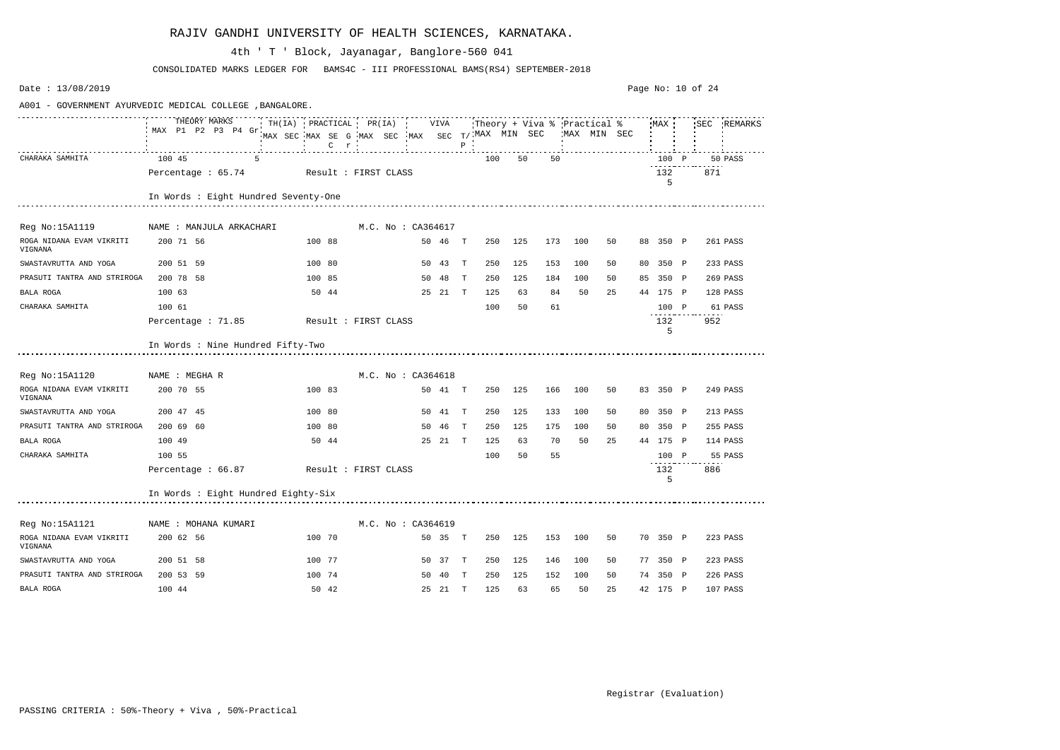| Date: 13/08/2019                                         |                                         |                                                           |                    |    |         |              |     |     |     |              |    |          | Page No: 10 of 24 |             |
|----------------------------------------------------------|-----------------------------------------|-----------------------------------------------------------|--------------------|----|---------|--------------|-----|-----|-----|--------------|----|----------|-------------------|-------------|
| A001 - GOVERNMENT AYURVEDIC MEDICAL COLLEGE , BANGALORE. |                                         |                                                           |                    |    |         |              |     |     |     |              |    |          |                   |             |
|                                                          | MAX P1 P2 P3 P4 Gr.                     | MAX SEC MAX SE G MAX SEC MAX SEC T/NAX MIN SEC<br>$C$ $r$ |                    |    |         | $\, {\bf P}$ |     |     |     | 'MAX MIN SEC |    | MAX      |                   | SEC REMARKS |
| CHARAKA SAMHITA                                          | 100 45<br>.5                            |                                                           |                    |    |         |              | 100 | 50  | 50  |              |    | 100 P    |                   | 50 PASS     |
|                                                          | Percentage : 65.74 Result : FIRST CLASS |                                                           |                    |    |         |              |     |     |     |              |    | 132<br>5 | 871               |             |
|                                                          | In Words : Eight Hundred Seventy-One    |                                                           |                    |    |         |              |     |     |     |              |    |          |                   |             |
| Reg No:15A1119                                           | NAME : MANJULA ARKACHARI                |                                                           | M.C. No : CA364617 |    |         |              |     |     |     |              |    |          |                   |             |
| ROGA NIDANA EVAM VIKRITI<br>VIGNANA                      | 200 71 56                               | 100 88                                                    |                    |    | 50 46 T |              | 250 | 125 | 173 | 100          | 50 | 88 350 P |                   | 261 PASS    |
| SWASTAVRUTTA AND YOGA                                    | 200 51 59                               | 100 80                                                    |                    |    | 50 43 T |              | 250 | 125 | 153 | 100          | 50 | 80 350 P |                   | 233 PASS    |
| PRASUTI TANTRA AND STRIROGA                              | 200 78 58                               | 100 85                                                    |                    |    | 50 48   | $\mathbf{T}$ | 250 | 125 | 184 | 100          | 50 | 85 350 P |                   | 269 PASS    |
| BALA ROGA                                                | 100 63                                  | 50 44                                                     |                    |    | 25 21 T |              | 125 | 63  | 84  | 50           | 25 | 44 175 P |                   | 128 PASS    |
| CHARAKA SAMHITA                                          | 100 61                                  |                                                           |                    |    |         |              | 100 | 50  | 61  |              |    | 100 P    |                   | 61 PASS     |
|                                                          | Percentage : 71.85 Result : FIRST CLASS |                                                           |                    |    |         |              |     |     |     |              |    | 132<br>5 | 952               |             |
|                                                          | In Words : Nine Hundred Fifty-Two       |                                                           |                    |    |         |              |     |     |     |              |    |          |                   |             |
| Reg No:15A1120                                           | NAME : MEGHA R                          |                                                           | M.C. No: CA364618  |    |         |              |     |     |     |              |    |          |                   |             |
| ROGA NIDANA EVAM VIKRITI<br>VIGNANA                      | 200 70 55                               | 100 83                                                    |                    |    | 50 41 T |              | 250 | 125 | 166 | 100          | 50 | 83 350 P |                   | 249 PASS    |
| SWASTAVRUTTA AND YOGA                                    | 200 47 45                               | 100 80                                                    |                    |    | 50 41 T |              | 250 | 125 | 133 | 100          | 50 | 80 350 P |                   | 213 PASS    |
| PRASUTI TANTRA AND STRIROGA                              | 200 69 60                               | 100 80                                                    |                    | 50 | 46      | $\mathbf{T}$ | 250 | 125 | 175 | 100          | 50 | 80 350 P |                   | 255 PASS    |
| BALA ROGA                                                | 100 49                                  | 50 44                                                     |                    |    | 25 21 T |              | 125 | 63  | 70  | 50           | 25 | 44 175 P |                   | 114 PASS    |
| CHARAKA SAMHITA                                          | 100 55                                  |                                                           |                    |    |         |              | 100 | 50  | 55  |              |    | 100 P    |                   | 55 PASS     |
|                                                          | Percentage : 66.87                      | Result : FIRST CLASS                                      |                    |    |         |              |     |     |     |              |    | 132<br>5 | 886               |             |
|                                                          | In Words : Eight Hundred Eighty-Six     |                                                           |                    |    |         |              |     |     |     |              |    |          |                   |             |
| Reg No:15A1121                                           | NAME : MOHANA KUMARI                    |                                                           | M.C. No : CA364619 |    |         |              |     |     |     |              |    |          |                   |             |
| ROGA NIDANA EVAM VIKRITI<br>VIGNANA                      | 200 62 56                               | 100 70                                                    |                    |    | 50 35 T |              | 250 | 125 | 153 | 100          | 50 | 70 350 P |                   | 223 PASS    |
| SWASTAVRUTTA AND YOGA                                    | 200 51 58                               | 100 77                                                    |                    |    | 50 37 T |              | 250 | 125 | 146 | 100          | 50 | 77 350 P |                   | 223 PASS    |
| PRASUTI TANTRA AND STRIROGA                              | 200 53 59                               | 100 74                                                    |                    |    | 50 40 T |              | 250 | 125 | 152 | 100          | 50 | 74 350 P |                   | 226 PASS    |
| BALA ROGA                                                | 100 44                                  | 50 42                                                     |                    |    | 25 21 T |              | 125 | 63  | 65  | 50           | 25 | 42 175 P |                   | 107 PASS    |

CONSOLIDATED MARKS LEDGER FOR BAMS4C - III PROFESSIONAL BAMS(RS4) SEPTEMBER-2018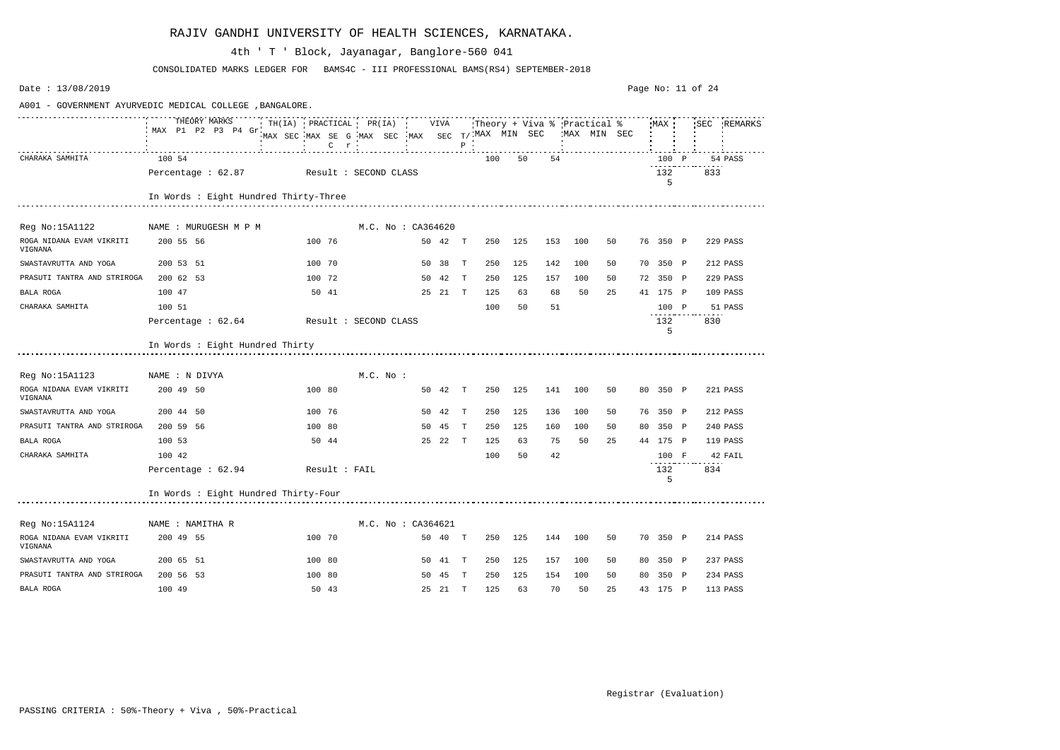| Date: 13/08/2019                                         |                                                                                              |                            |                                                 |                          |         |              |     |         |     |         |              | Page No: 11 of 24 |     |             |
|----------------------------------------------------------|----------------------------------------------------------------------------------------------|----------------------------|-------------------------------------------------|--------------------------|---------|--------------|-----|---------|-----|---------|--------------|-------------------|-----|-------------|
| A001 - GOVERNMENT AYURVEDIC MEDICAL COLLEGE , BANGALORE. |                                                                                              |                            |                                                 |                          |         |              |     |         |     |         |              |                   |     |             |
|                                                          | THEORY MARKS TH(IA) PRACTICAL PR(IA) VIVA Theory + Viva % Practical %<br>MAX P1 P2 P3 P4 Gr. | $C$ $r$<br><b>Contract</b> | MAX SEC MAX SE G MAX SEC MAX SEC T/ MAX MIN SEC | <b>Contract Contract</b> |         | $P$ $\cdot$  |     |         |     |         | 'MAX MIN SEC | MAX               |     | SEC REMARKS |
| CHARAKA SAMHITA                                          | 100 54                                                                                       |                            |                                                 |                          |         |              | 100 | 50      | 54  |         |              | 100 P             |     | 54 PASS     |
|                                                          | Percentage : 62.87 Result : SECOND CLASS                                                     |                            |                                                 |                          |         |              |     |         |     |         |              | 132<br>5          | 833 |             |
|                                                          | In Words : Eight Hundred Thirty-Three                                                        |                            |                                                 |                          |         |              |     |         |     |         |              |                   |     |             |
| Reg No:15A1122                                           | NAME : MURUGESH M P M                                                                        |                            | M.C. No : CA364620                              |                          |         |              |     |         |     |         |              |                   |     |             |
| ROGA NIDANA EVAM VIKRITI<br>VIGNANA                      | 200 55 56                                                                                    | 100 76                     |                                                 |                          | 50 42 T |              |     | 250 125 | 153 | 100     | 50           | 76 350 P          |     | 229 PASS    |
| SWASTAVRUTTA AND YOGA                                    | 200 53 51                                                                                    | 100 70                     |                                                 |                          | 50 38 T |              | 250 | 125     | 142 | 100     | 50           | 70 350 P          |     | 212 PASS    |
| PRASUTI TANTRA AND STRIROGA                              | 200 62 53                                                                                    | 100 72                     |                                                 |                          | 50 42 T |              | 250 | 125     | 157 | 100     | 50           | 72 350 P          |     | 229 PASS    |
| BALA ROGA                                                | 100 47                                                                                       | 50 41                      |                                                 |                          | 25 21 T |              | 125 | 63      | 68  | 50      | 25           | 41 175 P          |     | 109 PASS    |
| CHARAKA SAMHITA                                          | 100 51                                                                                       |                            |                                                 |                          |         |              | 100 | 50      | 51  |         |              | 100 P             |     | 51 PASS     |
|                                                          | Percentage : 62.64 Result : SECOND CLASS                                                     |                            |                                                 |                          |         |              |     |         |     |         |              | 132<br>5          | 830 |             |
|                                                          | In Words : Eight Hundred Thirty                                                              |                            |                                                 |                          |         |              |     |         |     |         |              |                   |     |             |
| Reg No:15A1123                                           | NAME : N DIVYA                                                                               |                            | $M.C.$ No :                                     |                          |         |              |     |         |     |         |              |                   |     |             |
| ROGA NIDANA EVAM VIKRITI<br>VIGNANA                      | 200 49 50                                                                                    | 100 80                     |                                                 |                          | 50 42 T |              |     | 250 125 |     | 141 100 | 50           | 80 350 P          |     | 221 PASS    |
| SWASTAVRUTTA AND YOGA                                    | 200 44 50                                                                                    | 100 76                     |                                                 |                          | 50 42 T |              | 250 | 125     | 136 | 100     | 50           | 76 350 P          |     | 212 PASS    |
| PRASUTI TANTRA AND STRIROGA                              | 200 59 56                                                                                    | 100 80                     |                                                 |                          | 50 45   | $\mathbf{T}$ | 250 | 125     | 160 | 100     | 50           | 80 350 P          |     | 240 PASS    |
| BALA ROGA                                                | 100 53                                                                                       | 50 44                      |                                                 |                          | 25 22 T |              | 125 | 63      | 75  | 50      | 25           | 44 175 P          |     | 119 PASS    |
| CHARAKA SAMHITA                                          | 100 42                                                                                       |                            |                                                 |                          |         |              | 100 | 50      | 42  |         |              | 100 F             |     | 42 FAIL     |
|                                                          | Percentage : 62.94                                                                           | Result : FAIL              |                                                 |                          |         |              |     |         |     |         |              | 132<br>5          | 834 |             |
|                                                          | In Words : Eight Hundred Thirty-Four                                                         |                            |                                                 |                          |         |              |     |         |     |         |              |                   |     |             |
| Reg No:15A1124                                           | NAME : NAMITHA R                                                                             |                            | M.C. No: CA364621                               |                          |         |              |     |         |     |         |              |                   |     |             |
| ROGA NIDANA EVAM VIKRITI<br>VIGNANA                      | 200 49 55                                                                                    | 100 70                     |                                                 |                          | 50 40 T |              | 250 | 125     | 144 | 100     | 50           | 70 350 P          |     | 214 PASS    |
| SWASTAVRUTTA AND YOGA                                    | 200 65 51                                                                                    | 100 80                     |                                                 |                          | 50 41 T |              | 250 | 125     | 157 | 100     | 50           | 80 350 P          |     | 237 PASS    |
| PRASUTI TANTRA AND STRIROGA                              | 200 56 53                                                                                    | 100 80                     |                                                 |                          | 50 45 T |              | 250 | 125     | 154 | 100     | 50           | 80 350 P          |     | 234 PASS    |
| BALA ROGA                                                | 100 49                                                                                       | 50 43                      |                                                 |                          | 25 21 T |              | 125 | 63      | 70  | 50      | 25           | 43 175 P          |     | 113 PASS    |

CONSOLIDATED MARKS LEDGER FOR BAMS4C - III PROFESSIONAL BAMS(RS4) SEPTEMBER-2018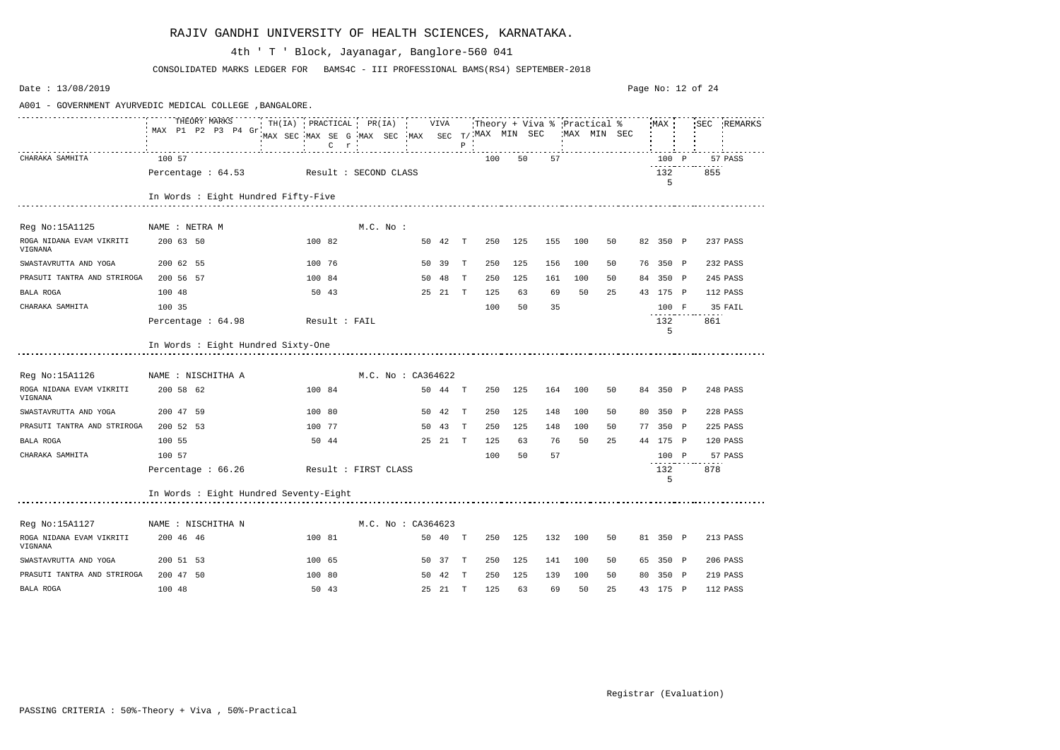| Date: 13/08/2019                                         |                                        |                                                                                                                                  |                      |         |              |     |     |     |             |    |          | Page No: 12 of 24 |             |
|----------------------------------------------------------|----------------------------------------|----------------------------------------------------------------------------------------------------------------------------------|----------------------|---------|--------------|-----|-----|-----|-------------|----|----------|-------------------|-------------|
| A001 - GOVERNMENT AYURVEDIC MEDICAL COLLEGE , BANGALORE. |                                        |                                                                                                                                  |                      |         |              |     |     |     |             |    |          |                   |             |
|                                                          | THEORY MARKS<br>MAX P1 P2 P3 P4 Gr.    | TH(IA) PRACTICAL PR(IA) : VIVA Theory + Viva % Practical % MAX :<br>MAX SEC MAX SE G MAX SEC MAX SEC $T/$ MAX MIN SEC<br>$C$ $r$ |                      |         | $P$ $\cdot$  |     |     |     | MAX MIN SEC |    | MAX      |                   | SEC REMARKS |
| CHARAKA SAMHITA                                          | 100 57                                 |                                                                                                                                  |                      |         |              | 100 | 50  | 57  |             |    | 100 P    |                   | 57 PASS     |
|                                                          | Percentage: 64.53                      | Result : SECOND CLASS                                                                                                            |                      |         |              |     |     |     |             |    | 132<br>5 | 855               |             |
|                                                          | In Words : Eight Hundred Fifty-Five    |                                                                                                                                  |                      |         |              |     |     |     |             |    |          |                   |             |
| Reg No:15A1125                                           | NAME : NETRA M                         |                                                                                                                                  | $M.C.$ No :          |         |              |     |     |     |             |    |          |                   |             |
| ROGA NIDANA EVAM VIKRITI<br>VIGNANA                      | 200 63 50                              | 100 82                                                                                                                           |                      | 50 42 T |              | 250 | 125 | 155 | 100         | 50 | 82 350 P |                   | 237 PASS    |
| SWASTAVRUTTA AND YOGA                                    | 200 62 55                              | 100 76                                                                                                                           |                      | 50 39   | $\mathbb{T}$ | 250 | 125 | 156 | 100         | 50 | 76 350 P |                   | 232 PASS    |
| PRASUTI TANTRA AND STRIROGA                              | 200 56 57                              | 100 84                                                                                                                           |                      | 50 48   | T            | 250 | 125 | 161 | 100         | 50 | 84 350 P |                   | 245 PASS    |
| BALA ROGA                                                | 100 48                                 | 50 43                                                                                                                            |                      | 25 21 T |              | 125 | 63  | 69  | 50          | 25 | 43 175 P |                   | 112 PASS    |
| CHARAKA SAMHITA                                          | 100 35                                 |                                                                                                                                  |                      |         |              | 100 | 50  | 35  |             |    | 100 F    |                   | 35 FAIL     |
|                                                          | Percentage : 64.98                     | Result : FAIL                                                                                                                    |                      |         |              |     |     |     |             |    | 132<br>5 | 861               |             |
|                                                          | In Words : Eight Hundred Sixty-One     |                                                                                                                                  |                      |         |              |     |     |     |             |    |          |                   |             |
| Reg No:15A1126                                           | NAME : NISCHITHA A                     |                                                                                                                                  | M.C. No : CA364622   |         |              |     |     |     |             |    |          |                   |             |
| ROGA NIDANA EVAM VIKRITI<br>VIGNANA                      | 200 58 62                              | 100 84                                                                                                                           |                      | 50 44 T |              | 250 | 125 | 164 | 100         | 50 | 84 350 P |                   | 248 PASS    |
| SWASTAVRUTTA AND YOGA                                    | 200 47 59                              | 100 80                                                                                                                           |                      | 50 42   | $\mathbb{T}$ | 250 | 125 | 148 | 100         | 50 | 80 350 P |                   | 228 PASS    |
| PRASUTI TANTRA AND STRIROGA                              | 200 52 53                              | 100 77                                                                                                                           |                      | 50 43   | T            | 250 | 125 | 148 | 100         | 50 | 77 350 P |                   | 225 PASS    |
| BALA ROGA                                                | 100 55                                 | 50 44                                                                                                                            |                      | 25 21 T |              | 125 | 63  | 76  | 50          | 25 | 44 175 P |                   | 120 PASS    |
| CHARAKA SAMHITA                                          | 100 57                                 |                                                                                                                                  |                      |         |              | 100 | 50  | 57  |             |    | 100 P    |                   | 57 PASS     |
|                                                          | Percentage : 66.26                     |                                                                                                                                  | Result : FIRST CLASS |         |              |     |     |     |             |    | 132<br>5 | 878               |             |
|                                                          | In Words : Eight Hundred Seventy-Eight |                                                                                                                                  |                      |         |              |     |     |     |             |    |          |                   |             |
| Reg No:15A1127                                           | NAME : NISCHITHA N                     |                                                                                                                                  | M.C. No : CA364623   |         |              |     |     |     |             |    |          |                   |             |
| ROGA NIDANA EVAM VIKRITI<br>VIGNANA                      | 200 46 46                              | 100 81                                                                                                                           |                      | 50 40 T |              | 250 | 125 | 132 | 100         | 50 | 81 350 P |                   | 213 PASS    |
| SWASTAVRUTTA AND YOGA                                    | 200 51 53                              | 100 65                                                                                                                           |                      | 50 37 T |              | 250 | 125 | 141 | 100         | 50 | 65 350 P |                   | 206 PASS    |
| PRASUTI TANTRA AND STRIROGA                              | 200 47 50                              | 100 80                                                                                                                           |                      | 50 42 T |              | 250 | 125 | 139 | 100         | 50 | 80 350 P |                   | 219 PASS    |
| BALA ROGA                                                | 100 48                                 | 50 43                                                                                                                            |                      | 25 21 T |              | 125 | 63  | 69  | 50          | 25 | 43 175 P |                   | 112 PASS    |

CONSOLIDATED MARKS LEDGER FOR BAMS4C - III PROFESSIONAL BAMS(RS4) SEPTEMBER-2018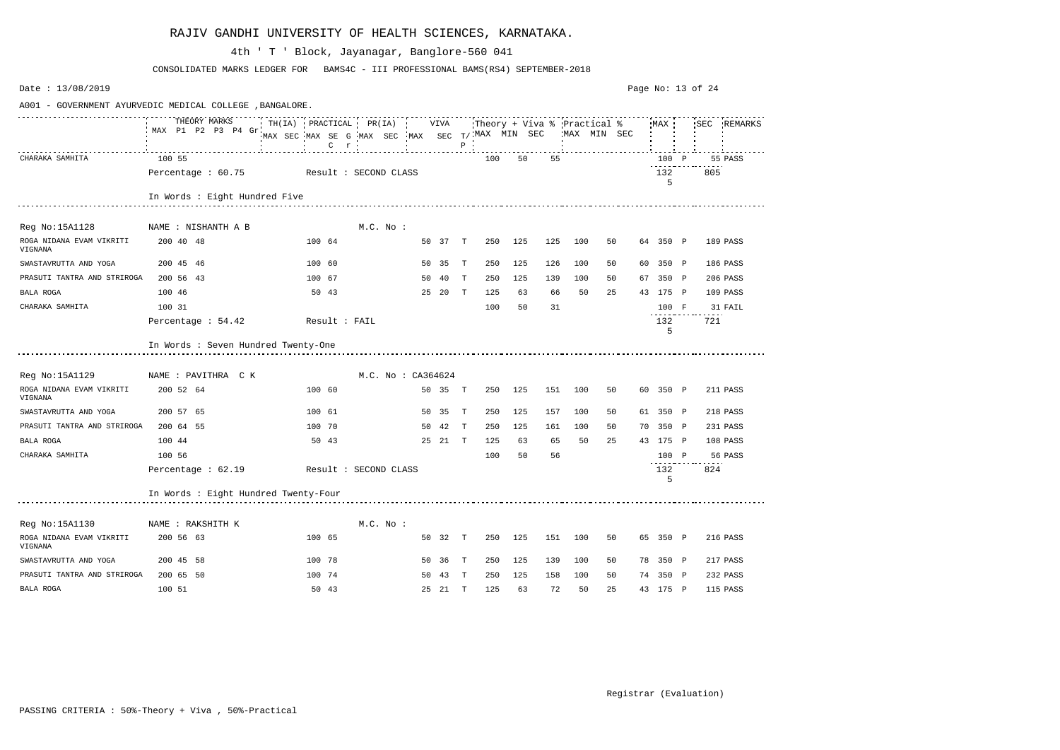| Date: 13/08/2019                                         |                                          |               |                                                                                                            |        |         |              |     |     |     |     |             | Page No: 13 of 24 |          |     |             |
|----------------------------------------------------------|------------------------------------------|---------------|------------------------------------------------------------------------------------------------------------|--------|---------|--------------|-----|-----|-----|-----|-------------|-------------------|----------|-----|-------------|
| A001 - GOVERNMENT AYURVEDIC MEDICAL COLLEGE , BANGALORE. |                                          |               |                                                                                                            |        |         |              |     |     |     |     |             |                   |          |     |             |
|                                                          | THEORY MARKS<br>MAX P1 P2 P3 P4 Gr.      | $C$ $r$       | TH(IA) PRACTICAL PR(IA) VIVA Theory + Viva % Practical %<br>MAX SEC MAX SE G MAX SEC MAX SEC T/MAX MIN SEC | $\sim$ |         | $\, {\bf P}$ |     |     |     |     | MAX MIN SEC |                   | MAX      |     | SEC REMARKS |
| CHARAKA SAMHITA                                          | 100 55                                   |               |                                                                                                            |        |         |              | 100 | 50  | 55  |     |             |                   | 100 P    |     | 55 PASS     |
|                                                          | Percentage : 60.75 Result : SECOND CLASS |               |                                                                                                            |        |         |              |     |     |     |     |             |                   | 132<br>5 | 805 |             |
|                                                          | In Words : Eight Hundred Five            |               |                                                                                                            |        |         |              |     |     |     |     |             |                   |          |     |             |
| Reg No:15A1128                                           | NAME : NISHANTH A B                      |               | $M.C.$ No :                                                                                                |        |         |              |     |     |     |     |             |                   |          |     |             |
| ROGA NIDANA EVAM VIKRITI<br>VIGNANA                      | 200 40 48                                | 100 64        |                                                                                                            |        | 50 37 T |              | 250 | 125 | 125 | 100 | 50          |                   | 64 350 P |     | 189 PASS    |
| SWASTAVRUTTA AND YOGA                                    | 200 45 46                                | 100 60        |                                                                                                            |        | 50 35   | $\mathbf{T}$ | 250 | 125 | 126 | 100 | 50          |                   | 60 350 P |     | 186 PASS    |
| PRASUTI TANTRA AND STRIROGA                              | 200 56 43                                | 100 67        |                                                                                                            |        | 50 40   | $\mathbb{T}$ | 250 | 125 | 139 | 100 | 50          |                   | 67 350 P |     | 206 PASS    |
| BALA ROGA                                                | 100 46                                   | 50 43         |                                                                                                            |        | 25 20 T |              | 125 | 63  | 66  | 50  | 25          |                   | 43 175 P |     | 109 PASS    |
| CHARAKA SAMHITA                                          | 100 31                                   |               |                                                                                                            |        |         |              | 100 | 50  | 31  |     |             |                   | 100 F    |     | 31 FAIL     |
|                                                          | Percentage : 54.42                       | Result : FAIL |                                                                                                            |        |         |              |     |     |     |     |             |                   | 132<br>5 | 721 |             |
|                                                          | In Words : Seven Hundred Twenty-One      |               |                                                                                                            |        |         |              |     |     |     |     |             |                   |          |     |             |
| Reg No:15A1129                                           | NAME : PAVITHRA C K                      |               | M.C. No : CA364624                                                                                         |        |         |              |     |     |     |     |             |                   |          |     |             |
| ROGA NIDANA EVAM VIKRITI<br>VIGNANA                      | 200 52 64                                | 100 60        |                                                                                                            |        | 50 35 T |              | 250 | 125 | 151 | 100 | 50          |                   | 60 350 P |     | 211 PASS    |
| SWASTAVRUTTA AND YOGA                                    | 200 57 65                                | 100 61        |                                                                                                            |        | 50 35   | T            | 250 | 125 | 157 | 100 | 50          |                   | 61 350 P |     | 218 PASS    |
| PRASUTI TANTRA AND STRIROGA                              | 200 64 55                                | 100 70        |                                                                                                            | 50     | 42      | T            | 250 | 125 | 161 | 100 | 50          | 70                | 350 P    |     | 231 PASS    |
| BALA ROGA                                                | 100 44                                   | 50 43         |                                                                                                            |        | 25 21 T |              | 125 | 63  | 65  | 50  | 25          |                   | 43 175 P |     | 108 PASS    |
| CHARAKA SAMHITA                                          | 100 56                                   |               |                                                                                                            |        |         |              | 100 | 50  | 56  |     |             |                   | 100 P    |     | 56 PASS     |
|                                                          | Percentage $: 62.19$                     |               | Result : SECOND CLASS                                                                                      |        |         |              |     |     |     |     |             |                   | 132<br>5 | 824 |             |
|                                                          | In Words : Eight Hundred Twenty-Four     |               |                                                                                                            |        |         |              |     |     |     |     |             |                   |          |     |             |
| Reg No:15A1130                                           | NAME : RAKSHITH K                        |               | $M.C.$ No :                                                                                                |        |         |              |     |     |     |     |             |                   |          |     |             |
| ROGA NIDANA EVAM VIKRITI<br>VIGNANA                      | 200 56 63                                | 100 65        |                                                                                                            |        | 50 32 T |              | 250 | 125 | 151 | 100 | 50          |                   | 65 350 P |     | 216 PASS    |
| SWASTAVRUTTA AND YOGA                                    | 200 45 58                                | 100 78        |                                                                                                            |        | 50 36 T |              | 250 | 125 | 139 | 100 | 50          |                   | 78 350 P |     | 217 PASS    |
| PRASUTI TANTRA AND STRIROGA                              | 200 65 50                                | 100 74        |                                                                                                            |        | 50 43 T |              | 250 | 125 | 158 | 100 | 50          |                   | 74 350 P |     | 232 PASS    |
| BALA ROGA                                                | 100 51                                   | 50 43         |                                                                                                            |        | 25 21 T |              | 125 | 63  | 72  | 50  | 25          |                   | 43 175 P |     | 115 PASS    |

CONSOLIDATED MARKS LEDGER FOR BAMS4C - III PROFESSIONAL BAMS(RS4) SEPTEMBER-2018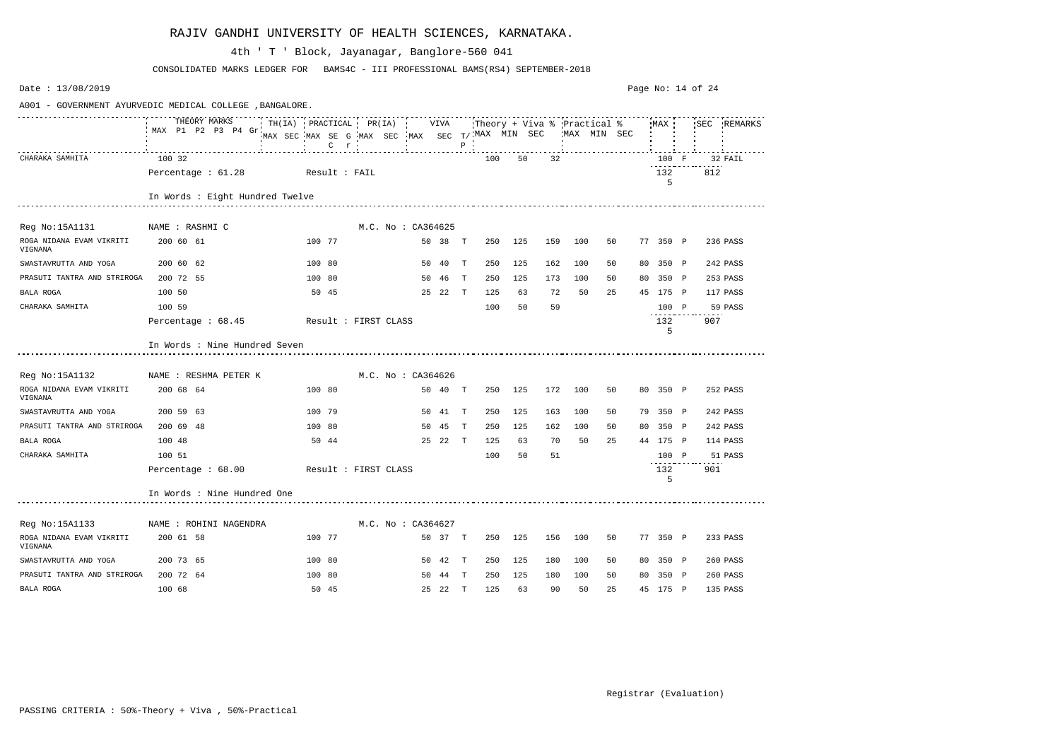| Date: 13/08/2019                    |                                                          |                                                             |                      |         |       |     |         |     |         |    |          | Page No: $14$ of 24 |          |
|-------------------------------------|----------------------------------------------------------|-------------------------------------------------------------|----------------------|---------|-------|-----|---------|-----|---------|----|----------|---------------------|----------|
|                                     | A001 - GOVERNMENT AYURVEDIC MEDICAL COLLEGE , BANGALORE. |                                                             |                      |         |       |     |         |     |         |    |          |                     |          |
|                                     | MAX P1 P2 P3 P4 Gr                                       | MAX SEC MAX SE G MAX SEC MAX SEC T/ MAX MIN SEC WAX MIN SEC | C r i p i p i        |         | $P$ : |     |         |     |         |    |          |                     |          |
| CHARAKA SAMHITA                     | 100 32                                                   |                                                             |                      |         |       | 100 | 50      | 32  |         |    | 100 F    |                     | 32 FAIL  |
|                                     | Percentage: 61.28 Result: FAIL                           |                                                             |                      |         |       |     |         |     |         |    | 132<br>5 | 812                 |          |
|                                     | In Words : Eight Hundred Twelve                          |                                                             |                      |         |       |     |         |     |         |    |          |                     |          |
| Reg No:15A1131 NAME : RASHMIC       |                                                          |                                                             | M.C. No : CA364625   |         |       |     |         |     |         |    |          |                     |          |
| ROGA NIDANA EVAM VIKRITI<br>VIGNANA | 200 60 61                                                | 100 77                                                      |                      | 50 38 T |       |     | 250 125 |     | 159 100 | 50 | 77 350 P |                     | 236 PASS |
| SWASTAVRUTTA AND YOGA               | 200 60 62                                                | 100 80                                                      |                      | 50 40 T |       | 250 | 125     | 162 | 100     | 50 | 80 350 P |                     | 242 PASS |
| PRASUTI TANTRA AND STRIROGA         | 200 72 55                                                | 100 80                                                      |                      | 50 46 T |       | 250 | 125     | 173 | 100     | 50 | 80 350 P |                     | 253 PASS |
| BALA ROGA                           | 100 50                                                   | 50 45                                                       |                      | 25 22 T |       | 125 | 63      | 72  | 50      | 25 | 45 175 P |                     | 117 PASS |
| CHARAKA SAMHITA                     | 100 59                                                   |                                                             |                      |         |       | 100 | 50      | 59  |         |    | 100 P    |                     | 59 PASS  |
|                                     | Percentage : $68.45$                                     | Result : FIRST CLASS                                        |                      |         |       |     |         |     |         |    | 132<br>5 | 907                 |          |
|                                     | In Words : Nine Hundred Seven                            |                                                             |                      |         |       |     |         |     |         |    |          |                     |          |
| Reg No:15A1132                      | NAME : RESHMA PETER K                                    |                                                             | M.C. No : CA364626   |         |       |     |         |     |         |    |          |                     |          |
| ROGA NIDANA EVAM VIKRITI<br>VIGNANA | 200 68 64                                                | 100 80                                                      |                      | 50 40 T |       |     | 250 125 |     | 172 100 | 50 | 80 350 P |                     | 252 PASS |
| SWASTAVRUTTA AND YOGA               | 200 59 63                                                | 100 79                                                      |                      | 50 41 T |       | 250 | 125     | 163 | 100     | 50 | 79 350 P |                     | 242 PASS |
| PRASUTI TANTRA AND STRIROGA         | 200 69 48                                                | 100 80                                                      |                      | 50 45 T |       | 250 | 125     | 162 | 100     | 50 | 80 350 P |                     | 242 PASS |
| BALA ROGA                           | 100 48                                                   | 50 44                                                       |                      | 25 22 T |       | 125 | 63      | 70  | 50      | 25 | 44 175 P |                     | 114 PASS |
| CHARAKA SAMHITA                     | 100 51                                                   |                                                             |                      |         |       | 100 | 50      | 51  |         |    | 100 P    |                     | 51 PASS  |
|                                     | Percentage $: 68.00$                                     |                                                             | Result : FIRST CLASS |         |       |     |         |     |         |    | 132<br>5 | 901                 |          |
|                                     | In Words : Nine Hundred One                              |                                                             |                      |         |       |     |         |     |         |    |          |                     |          |
| Reg No:15A1133                      | NAME : ROHINI NAGENDRA                                   |                                                             | M.C. No : CA364627   |         |       |     |         |     |         |    |          |                     |          |
| ROGA NIDANA EVAM VIKRITI<br>VIGNANA | 200 61 58                                                | 100 77                                                      |                      | 50 37 T |       | 250 | 125     | 156 | 100     | 50 | 77 350 P |                     | 233 PASS |
| SWASTAVRUTTA AND YOGA               | 200 73 65                                                | 100 80                                                      |                      | 50 42 T |       | 250 | 125     | 180 | 100     | 50 | 80 350 P |                     | 260 PASS |
| PRASUTI TANTRA AND STRIROGA         | 200 72 64                                                | 100 80                                                      |                      | 50 44 T |       | 250 | 125     | 180 | 100     | 50 | 80 350 P |                     | 260 PASS |
| BALA ROGA                           | 100 68                                                   | 50 45                                                       |                      | 25 22 T |       | 125 | 63      | 90  | 50      | 25 | 45 175 P |                     | 135 PASS |

CONSOLIDATED MARKS LEDGER FOR BAMS4C - III PROFESSIONAL BAMS(RS4) SEPTEMBER-2018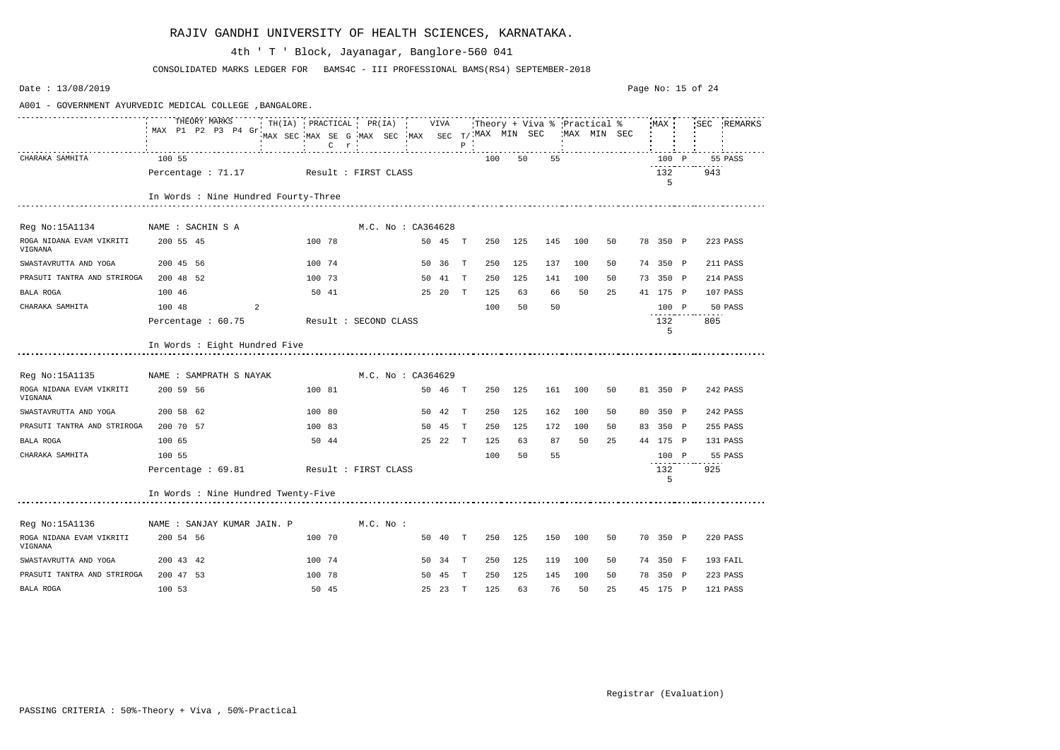| Date: 13/08/2019                    |                                                          |                                                                                                                                      |                    |         |              |     |         |     |              |    | Page No: 15 of 24 |          |             |
|-------------------------------------|----------------------------------------------------------|--------------------------------------------------------------------------------------------------------------------------------------|--------------------|---------|--------------|-----|---------|-----|--------------|----|-------------------|----------|-------------|
|                                     | A001 - GOVERNMENT AYURVEDIC MEDICAL COLLEGE , BANGALORE. |                                                                                                                                      |                    |         |              |     |         |     |              |    |                   |          |             |
|                                     | THEORY MARKS<br>MAX P1 P2 P3 P4 Gr.                      | TH(IA) PRACTICAL PR(IA) VIVA Theory + Viva % Practical % MAX !<br>MAX SEC MAX SE G MAX SEC MAX SEC T/ MAX MIN SEC<br>$C$ $r$ $\cdot$ |                    |         | $\, {\bf P}$ |     |         |     | 'MAX MIN SEC |    |                   |          | SEC REMARKS |
| CHARAKA SAMHITA                     | 100 55                                                   |                                                                                                                                      |                    |         |              | 100 | 50      | 55  |              |    | 100 P             |          | 55 PASS     |
|                                     | Percentage : 71.17 Result : FIRST CLASS                  |                                                                                                                                      |                    |         |              |     |         |     |              |    | 132<br>5          | 943      |             |
|                                     | In Words : Nine Hundred Fourty-Three                     |                                                                                                                                      |                    |         |              |     |         |     |              |    |                   |          |             |
| Reg No:15A1134                      | NAME : SACHIN S A                                        |                                                                                                                                      | M.C. No : CA364628 |         |              |     |         |     |              |    |                   |          |             |
| ROGA NIDANA EVAM VIKRITI<br>VIGNANA | 200 55 45                                                | 100 78                                                                                                                               |                    | 50 45 T |              |     | 250 125 | 145 | 100          | 50 | 78 350 P          |          | 223 PASS    |
| SWASTAVRUTTA AND YOGA               | 200 45 56                                                | 100 74                                                                                                                               |                    | 50 36 T |              | 250 | 125     | 137 | 100          | 50 | 74 350 P          |          | 211 PASS    |
| PRASUTI TANTRA AND STRIROGA         | 200 48 52                                                | 100 73                                                                                                                               |                    | 50 41   | $\mathbf{T}$ | 250 | 125     | 141 | 100          | 50 | 73 350 P          |          | 214 PASS    |
| BALA ROGA                           | 100 46                                                   | 50 41                                                                                                                                |                    | 25 20 T |              | 125 | 63      | 66  | 50           | 25 | 41 175 P          | 107 PASS |             |
| CHARAKA SAMHITA                     | 100 48<br>2                                              |                                                                                                                                      |                    |         |              | 100 | 50      | 50  |              |    | 100 P             |          | 50 PASS     |
|                                     | Percentage : 60.75                                       | Result : SECOND CLASS                                                                                                                |                    |         |              |     |         |     |              |    | 132<br>5          | 805      |             |
|                                     | In Words : Eight Hundred Five                            |                                                                                                                                      |                    |         |              |     |         |     |              |    |                   |          |             |
| Reg No:15A1135                      | NAME : SAMPRATH S NAYAK                                  |                                                                                                                                      | M.C. No : CA364629 |         |              |     |         |     |              |    |                   |          |             |
| ROGA NIDANA EVAM VIKRITI<br>VIGNANA | 200 59 56                                                | 100 81                                                                                                                               |                    | 50 46 T |              |     | 250 125 | 161 | 100          | 50 | 81 350 P          |          | 242 PASS    |
| SWASTAVRUTTA AND YOGA               | 200 58 62                                                | 100 80                                                                                                                               |                    | 50 42   | $\mathbb{T}$ | 250 | 125     | 162 | 100          | 50 | 80 350 P          |          | 242 PASS    |
| PRASUTI TANTRA AND STRIROGA         | 200 70 57                                                | 100 83                                                                                                                               |                    | 50 45   | T            | 250 | 125     | 172 | 100          | 50 | 83 350 P          |          | 255 PASS    |
| BALA ROGA                           | 100 65                                                   | 50 44                                                                                                                                |                    | 25 22 T |              | 125 | 63      | 87  | 50           | 25 | 44 175 P          | 131 PASS |             |
| CHARAKA SAMHITA                     | 100 55                                                   |                                                                                                                                      |                    |         |              | 100 | 50      | 55  |              |    | 100 P             |          | 55 PASS     |
|                                     | Percentage : 69.81                                       | Result : FIRST CLASS                                                                                                                 |                    |         |              |     |         |     |              |    | 132<br>5          | 925      |             |
|                                     | In Words : Nine Hundred Twenty-Five                      |                                                                                                                                      |                    |         |              |     |         |     |              |    |                   |          |             |
| Reg No:15A1136                      | NAME : SANJAY KUMAR JAIN. P                              |                                                                                                                                      | $M.C.$ No :        |         |              |     |         |     |              |    |                   |          |             |
| ROGA NIDANA EVAM VIKRITI<br>VIGNANA | 200 54 56                                                | 100 70                                                                                                                               |                    | 50 40 T |              |     | 250 125 | 150 | 100          | 50 | 70 350 P          |          | 220 PASS    |
| SWASTAVRUTTA AND YOGA               | 200 43 42                                                | 100 74                                                                                                                               |                    | 50 34 T |              | 250 | 125     | 119 | 100          | 50 | 74 350 F          |          | 193 FAIL    |
| PRASUTI TANTRA AND STRIROGA         | 200 47 53                                                | 100 78                                                                                                                               |                    | 50 45   | $\mathbf{T}$ | 250 | 125     | 145 | 100          | 50 | 78 350 P          |          | 223 PASS    |
| BALA ROGA                           | 100 53                                                   | 50 45                                                                                                                                |                    | 25 23 T |              | 125 | 63      | 76  | 50           | 25 | 45 175 P          | 121 PASS |             |

CONSOLIDATED MARKS LEDGER FOR BAMS4C - III PROFESSIONAL BAMS(RS4) SEPTEMBER-2018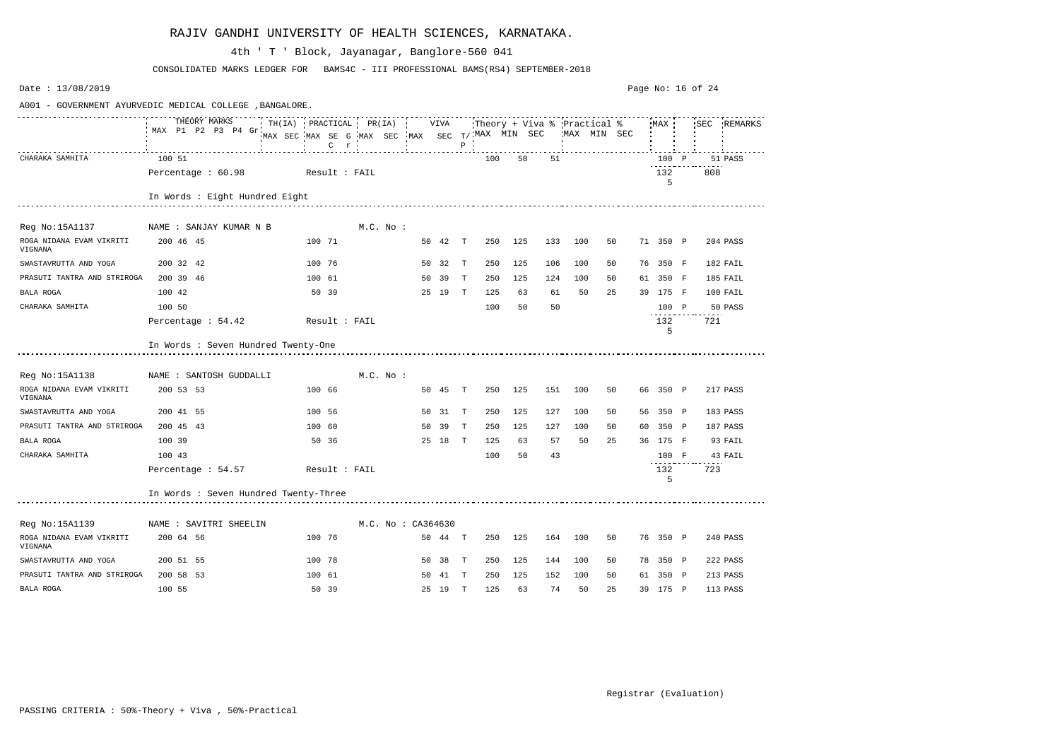| Date: 13/08/2019                                         |                                       |               |                                                   |             |                   |         |              |     |     |     |     |              | Page No: 16 of 24 |           |     |             |
|----------------------------------------------------------|---------------------------------------|---------------|---------------------------------------------------|-------------|-------------------|---------|--------------|-----|-----|-----|-----|--------------|-------------------|-----------|-----|-------------|
| A001 - GOVERNMENT AYURVEDIC MEDICAL COLLEGE , BANGALORE. |                                       |               |                                                   |             |                   |         |              |     |     |     |     |              |                   |           |     |             |
|                                                          | THEORY MARKS<br>MAX P1 P2 P3 P4 Gr    |               | MAX SEC MAX SE G MAX SEC MAX SEC $T/$ MAX MIN SEC |             |                   |         |              |     |     |     |     | MAX MIN SEC, |                   |           |     | SEC REMARKS |
| CHARAKA SAMHITA                                          | 100 51                                |               |                                                   |             |                   |         |              | 100 | 50  | 51  |     |              |                   | 100 P     |     | 51 PASS     |
|                                                          | Percentage: 60.98 Result: FAIL        |               |                                                   |             |                   |         |              |     |     |     |     |              |                   | 132<br>5  | 808 |             |
|                                                          | In Words : Eight Hundred Eight        |               |                                                   |             |                   |         |              |     |     |     |     |              |                   |           |     |             |
| Reg No:15A1137                                           | NAME : SANJAY KUMAR N B               |               |                                                   | $M.C.$ No : |                   |         |              |     |     |     |     |              |                   |           |     |             |
| ROGA NIDANA EVAM VIKRITI<br>VIGNANA                      | 200 46 45                             |               | 100 71                                            |             |                   | 50 42 T |              | 250 | 125 | 133 | 100 | 50           |                   | 71 350 P  |     | 204 PASS    |
| SWASTAVRUTTA AND YOGA                                    | 200 32 42                             |               | 100 76                                            |             | 50                | 32      | $\mathbb{T}$ | 250 | 125 | 106 | 100 | 50           |                   | 76 350 F  |     | 182 FAIL    |
| PRASUTI TANTRA AND STRIROGA                              | 200 39 46                             |               | 100 61                                            |             |                   | 50 39   | T            | 250 | 125 | 124 | 100 | 50           |                   | 61 350 F  |     | 185 FAIL    |
| BALA ROGA                                                | 100 42                                |               | 50 39                                             |             |                   | 25 19 T |              | 125 | 63  | 61  | 50  | 25           |                   | 39 175 F  |     | 100 FAIL    |
| CHARAKA SAMHITA                                          | 100 50                                |               |                                                   |             |                   |         |              | 100 | 50  | 50  |     |              |                   | 100 P     |     | 50 PASS     |
|                                                          | Percentage : 54.42                    | Result : FAIL |                                                   |             |                   |         |              |     |     |     |     |              |                   | 132<br>5  | 721 |             |
|                                                          | In Words : Seven Hundred Twenty-One   |               |                                                   |             |                   |         |              |     |     |     |     |              |                   |           |     |             |
| Reg No:15A1138                                           | NAME : SANTOSH GUDDALLI               |               |                                                   | $M.C.$ No : |                   |         |              |     |     |     |     |              |                   |           |     |             |
| ROGA NIDANA EVAM VIKRITI<br>VIGNANA                      | 200 53 53                             |               | 100 66                                            |             |                   | 50 45 T |              | 250 | 125 | 151 | 100 | 50           |                   | 66 350 P  |     | 217 PASS    |
| SWASTAVRUTTA AND YOGA                                    | 200 41 55                             |               | 100 56                                            |             |                   | 50 31 T |              | 250 | 125 | 127 | 100 | 50           |                   | 56 350 P  |     | 183 PASS    |
| PRASUTI TANTRA AND STRIROGA                              | 200 45 43                             |               | 100 60                                            |             |                   | 50 39   | $\mathbf{T}$ | 250 | 125 | 127 | 100 | 50           |                   | 60 350 P  |     | 187 PASS    |
| BALA ROGA                                                | 100 39                                |               | 50 36                                             |             |                   | 25 18 T |              | 125 | 63  | 57  | 50  | 25           |                   | 36 175 F  |     | 93 FAIL     |
| CHARAKA SAMHITA                                          | 100 43                                |               |                                                   |             |                   |         |              | 100 | 50  | 43  |     |              |                   | 100 F     |     | 43 FAIL     |
|                                                          | Percentage : 54.57                    |               | Result : FAIL                                     |             |                   |         |              |     |     |     |     |              |                   | 132<br>-5 | 723 |             |
|                                                          | In Words : Seven Hundred Twenty-Three |               |                                                   |             |                   |         |              |     |     |     |     |              |                   |           |     |             |
| Reg No:15A1139                                           | NAME : SAVITRI SHEELIN                |               |                                                   |             | M.C. No: CA364630 |         |              |     |     |     |     |              |                   |           |     |             |
| ROGA NIDANA EVAM VIKRITI<br>VIGNANA                      | 200 64 56                             |               | 100 76                                            |             |                   | 50 44 T |              | 250 | 125 | 164 | 100 | 50           |                   | 76 350 P  |     | 240 PASS    |
| SWASTAVRUTTA AND YOGA                                    | 200 51 55                             |               | 100 78                                            |             |                   | 50 38   | $\mathbb{T}$ | 250 | 125 | 144 | 100 | 50           |                   | 78 350 P  |     | 222 PASS    |
| PRASUTI TANTRA AND STRIROGA                              | 200 58 53                             |               | 100 61                                            |             |                   | 50 41 T |              | 250 | 125 | 152 | 100 | 50           |                   | 61 350 P  |     | 213 PASS    |
| BALA ROGA                                                | 100 55                                |               | 50 39                                             |             |                   | 25 19 T |              | 125 | 63  | 74  | 50  | 25           |                   | 39 175 P  |     | 113 PASS    |

CONSOLIDATED MARKS LEDGER FOR BAMS4C - III PROFESSIONAL BAMS(RS4) SEPTEMBER-2018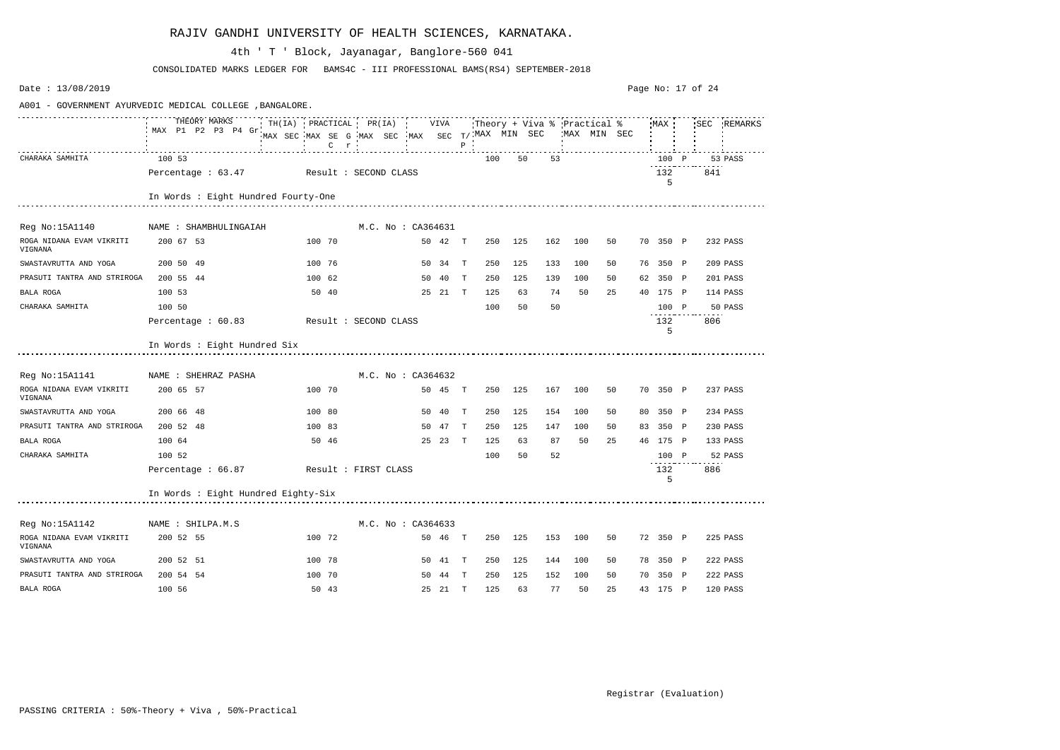| Date: 13/08/2019                    |                                                                 |                                                               |                      |         |              |     |         |     |                                   |    |          | Page No: 17 of 24 |             |
|-------------------------------------|-----------------------------------------------------------------|---------------------------------------------------------------|----------------------|---------|--------------|-----|---------|-----|-----------------------------------|----|----------|-------------------|-------------|
|                                     | A001 - GOVERNMENT AYURVEDIC MEDICAL COLLEGE , BANGALORE.        |                                                               |                      |         |              |     |         |     |                                   |    |          |                   |             |
|                                     | THEORY MARKS TH(IA) PRACTICAL PR(IA) VIVA<br>MAX P1 P2 P3 P4 Gr | MAX SEC MAX SE G MAX SEC MAX SEC $T/$ MAX MIN SEC WAX MIN SEC |                      |         |              |     |         |     | Theory + Viva % Practical % MAX ! |    |          |                   | SEC REMARKS |
| CHARAKA SAMHITA                     | 100 53                                                          |                                                               |                      |         |              | 100 | 50      | 53  |                                   |    | 100 P    |                   | 53 PASS     |
|                                     | Percentage: 63.47 Result: SECOND CLASS                          |                                                               |                      |         |              |     |         |     |                                   |    | 132<br>5 | 841               |             |
|                                     | In Words : Eight Hundred Fourty-One                             |                                                               |                      |         |              |     |         |     |                                   |    |          |                   |             |
| Reg No:15A1140                      | NAME : SHAMBHULINGAIAH                                          |                                                               | M.C. No: CA364631    |         |              |     |         |     |                                   |    |          |                   |             |
| ROGA NIDANA EVAM VIKRITI<br>VIGNANA | 200 67 53                                                       | 100 70                                                        |                      | 50 42 T |              | 250 | 125     | 162 | 100                               | 50 | 70 350 P |                   | 232 PASS    |
| SWASTAVRUTTA AND YOGA               | 200 50 49                                                       | 100 76                                                        |                      | 50 34 T |              | 250 | 125     | 133 | 100                               | 50 | 76 350 P |                   | 209 PASS    |
| PRASUTI TANTRA AND STRIROGA         | 200 55 44                                                       | 100 62                                                        |                      | 50 40   | $\mathbf{T}$ | 250 | 125     | 139 | 100                               | 50 | 62 350 P |                   | 201 PASS    |
| BALA ROGA                           | 100 53                                                          | 50 40                                                         |                      | 25 21 T |              | 125 | 63      | 74  | 50                                | 25 | 40 175 P |                   | 114 PASS    |
| CHARAKA SAMHITA                     | 100 50                                                          |                                                               |                      |         |              | 100 | 50      | 50  |                                   |    | 100 P    |                   | 50 PASS     |
|                                     | Percentage : 60.83                                              | Result : SECOND CLASS                                         |                      |         |              |     |         |     |                                   |    | 132<br>5 | 806               |             |
|                                     | In Words : Eight Hundred Six                                    |                                                               |                      |         |              |     |         |     |                                   |    |          |                   |             |
| Reg No:15A1141                      | NAME : SHEHRAZ PASHA                                            |                                                               | M.C. No : CA364632   |         |              |     |         |     |                                   |    |          |                   |             |
| ROGA NIDANA EVAM VIKRITI<br>VIGNANA | 200 65 57                                                       | 100 70                                                        |                      | 50 45 T |              |     | 250 125 | 167 | 100                               | 50 | 70 350 P |                   | 237 PASS    |
| SWASTAVRUTTA AND YOGA               | 200 66 48                                                       | 100 80                                                        |                      | 50 40   | T            | 250 | 125     | 154 | 100                               | 50 | 80 350 P |                   | 234 PASS    |
| PRASUTI TANTRA AND STRIROGA         | 200 52 48                                                       | 100 83                                                        |                      | 50 47   | T            | 250 | 125     | 147 | 100                               | 50 | 83 350 P |                   | 230 PASS    |
| BALA ROGA                           | 100 64                                                          | 50 46                                                         |                      | 25 23 T |              | 125 | 63      | 87  | 50                                | 25 | 46 175 P |                   | 133 PASS    |
| CHARAKA SAMHITA                     | 100 52                                                          |                                                               |                      |         |              | 100 | 50      | 52  |                                   |    | 100 P    |                   | 52 PASS     |
|                                     | Percentage : 66.87                                              |                                                               | Result : FIRST CLASS |         |              |     |         |     |                                   |    | 132<br>5 | 886               |             |
|                                     | In Words : Eight Hundred Eighty-Six                             |                                                               |                      |         |              |     |         |     |                                   |    |          |                   |             |
| Reg No:15A1142                      | NAME : SHILPA.M.S                                               |                                                               | M.C. No : CA364633   |         |              |     |         |     |                                   |    |          |                   |             |
| ROGA NIDANA EVAM VIKRITI<br>VIGNANA | 200 52 55                                                       | 100 72                                                        |                      | 50 46 T |              | 250 | 125     | 153 | 100                               | 50 | 72 350 P |                   | 225 PASS    |
| SWASTAVRUTTA AND YOGA               | 200 52 51                                                       | 100 78                                                        |                      | 50 41 T |              | 250 | 125     | 144 | 100                               | 50 | 78 350 P |                   | 222 PASS    |
| PRASUTI TANTRA AND STRIROGA         | 200 54 54                                                       | 100 70                                                        |                      | 50 44 T |              | 250 | 125     | 152 | 100                               | 50 | 70 350 P |                   | 222 PASS    |
| BALA ROGA                           | 100 56                                                          | 50 43                                                         |                      | 25 21 T |              | 125 | 63      | 77  | 50                                | 25 | 43 175 P |                   | 120 PASS    |

CONSOLIDATED MARKS LEDGER FOR BAMS4C - III PROFESSIONAL BAMS(RS4) SEPTEMBER-2018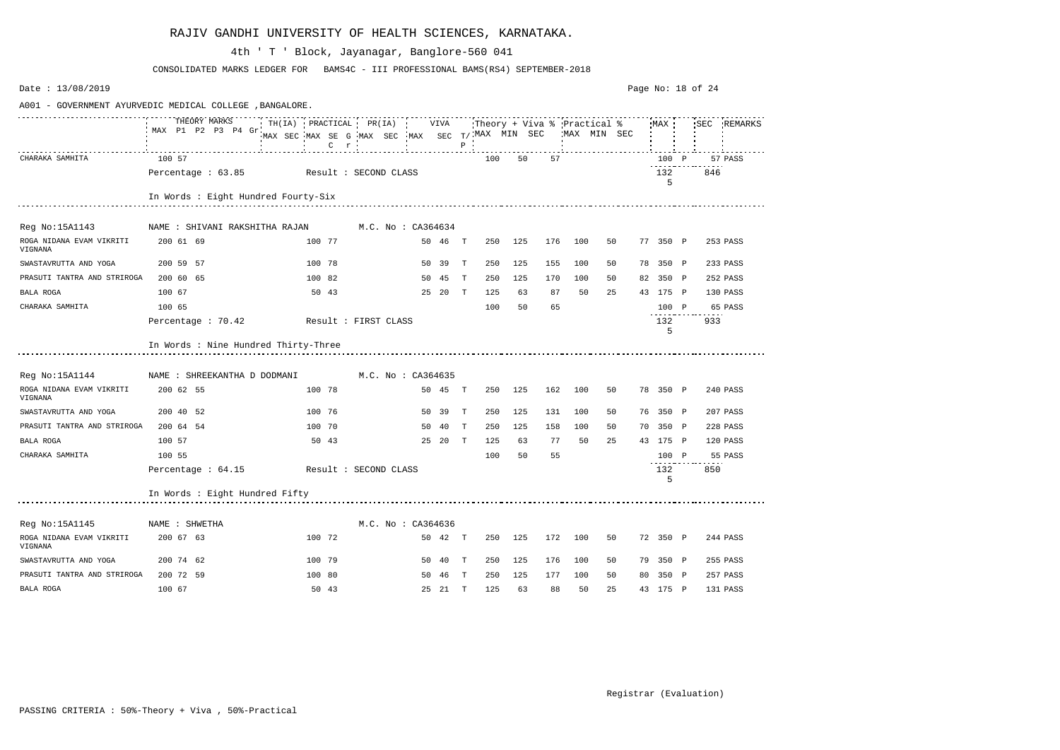| Date: 13/08/2019                                         |                                          |                                                                                            |                       |         |              |     |                               |     |             |    | Page No: 18 of 24 |          |     |             |
|----------------------------------------------------------|------------------------------------------|--------------------------------------------------------------------------------------------|-----------------------|---------|--------------|-----|-------------------------------|-----|-------------|----|-------------------|----------|-----|-------------|
| A001 - GOVERNMENT AYURVEDIC MEDICAL COLLEGE , BANGALORE. |                                          |                                                                                            |                       |         |              |     |                               |     |             |    |                   |          |     |             |
|                                                          | THEORY MARKS<br>MAX P1 P2 P3 P4 Gr.      | TH(IA) PRACTICAL PR(IA) VIVA<br>MAX SEC MAX SE G MAX SEC MAX SEC T/ MAX MIN SEC<br>$C$ $r$ | <b>TELEVISION</b>     |         | $\, {\bf P}$ |     | :Theory + Viva % :Practical % |     | MAX MIN SEC |    |                   | MAX      |     | SEC REMARKS |
| CHARAKA SAMHITA                                          | 100 57                                   |                                                                                            |                       |         |              | 100 | 50                            | 57  |             |    |                   | 100 P    |     | 57 PASS     |
|                                                          | Percentage : 63.85 Result : SECOND CLASS |                                                                                            |                       |         |              |     |                               |     |             |    |                   | 132<br>5 | 846 |             |
|                                                          | In Words : Eight Hundred Fourty-Six      |                                                                                            |                       |         |              |     |                               |     |             |    |                   |          |     |             |
| Reg No:15A1143                                           | NAME : SHIVANI RAKSHITHA RAJAN           |                                                                                            | M.C. No : CA364634    |         |              |     |                               |     |             |    |                   |          |     |             |
| ROGA NIDANA EVAM VIKRITI<br>VIGNANA                      | 200 61 69                                | 100 77                                                                                     |                       | 50 46   | T            | 250 | 125                           | 176 | 100         | 50 |                   | 77 350 P |     | 253 PASS    |
| SWASTAVRUTTA AND YOGA                                    | 200 59 57                                | 100 78                                                                                     |                       | 50 39   | T            | 250 | 125                           | 155 | 100         | 50 |                   | 78 350 P |     | 233 PASS    |
| PRASUTI TANTRA AND STRIROGA                              | 200 60 65                                | 100 82                                                                                     | 50                    | 45      | $\mathbb{T}$ | 250 | 125                           | 170 | 100         | 50 |                   | 82 350 P |     | 252 PASS    |
| BALA ROGA                                                | 100 67                                   | 50 43                                                                                      |                       | 25 20 T |              | 125 | 63                            | 87  | 50          | 25 |                   | 43 175 P |     | 130 PASS    |
| CHARAKA SAMHITA                                          | 100 65                                   |                                                                                            |                       |         |              | 100 | 50                            | 65  |             |    |                   | 100 P    |     | 65 PASS     |
|                                                          | Percentage : 70.42                       | Result : FIRST CLASS                                                                       |                       |         |              |     |                               |     |             |    |                   | 132<br>5 | 933 |             |
|                                                          | In Words : Nine Hundred Thirty-Three     |                                                                                            |                       |         |              |     |                               |     |             |    |                   |          |     |             |
| Reg No:15A1144                                           | NAME : SHREEKANTHA D DODMANI             |                                                                                            | M.C. No : CA364635    |         |              |     |                               |     |             |    |                   |          |     |             |
| ROGA NIDANA EVAM VIKRITI<br>VIGNANA                      | 200 62 55                                | 100 78                                                                                     |                       | 50 45   | $\mathbf{T}$ | 250 | 125                           | 162 | 100         | 50 |                   | 78 350 P |     | 240 PASS    |
| SWASTAVRUTTA AND YOGA                                    | 200 40 52                                | 100 76                                                                                     | 50                    | 39      | $\mathbb{T}$ | 250 | 125                           | 131 | 100         | 50 |                   | 76 350 P |     | 207 PASS    |
| PRASUTI TANTRA AND STRIROGA                              | 200 64 54                                | 100 70                                                                                     | 50                    | 40      | T            | 250 | 125                           | 158 | 100         | 50 | 70                | 350 P    |     | 228 PASS    |
| BALA ROGA                                                | 100 57                                   | 50 43                                                                                      |                       | 25 20   | $\mathbf{T}$ | 125 | 63                            | 77  | 50          | 25 |                   | 43 175 P |     | 120 PASS    |
| CHARAKA SAMHITA                                          | 100 55                                   |                                                                                            |                       |         |              | 100 | 50                            | 55  |             |    |                   | 100 P    |     | 55 PASS     |
|                                                          | Percentage $: 64.15$                     |                                                                                            | Result : SECOND CLASS |         |              |     |                               |     |             |    |                   | 132<br>5 | 850 |             |
|                                                          | In Words : Eight Hundred Fifty           |                                                                                            |                       |         |              |     |                               |     |             |    |                   |          |     |             |
| Reg No:15A1145                                           | NAME : SHWETHA                           |                                                                                            | M.C. No : CA364636    |         |              |     |                               |     |             |    |                   |          |     |             |
| ROGA NIDANA EVAM VIKRITI<br>VIGNANA                      | 200 67 63                                | 100 72                                                                                     |                       | 50 42 T |              | 250 | 125                           | 172 | 100         | 50 |                   | 72 350 P |     | 244 PASS    |
| SWASTAVRUTTA AND YOGA                                    | 200 74 62                                | 100 79                                                                                     |                       | 50 40 T |              | 250 | 125                           | 176 | 100         | 50 |                   | 79 350 P |     | 255 PASS    |
| PRASUTI TANTRA AND STRIROGA                              | 200 72 59                                | 100 80                                                                                     |                       | 50 46 T |              | 250 | 125                           | 177 | 100         | 50 |                   | 80 350 P |     | 257 PASS    |
| BALA ROGA                                                | 100 67                                   | 50 43                                                                                      |                       | 25 21 T |              | 125 | 63                            | 88  | 50          | 25 |                   | 43 175 P |     | 131 PASS    |

CONSOLIDATED MARKS LEDGER FOR BAMS4C - III PROFESSIONAL BAMS(RS4) SEPTEMBER-2018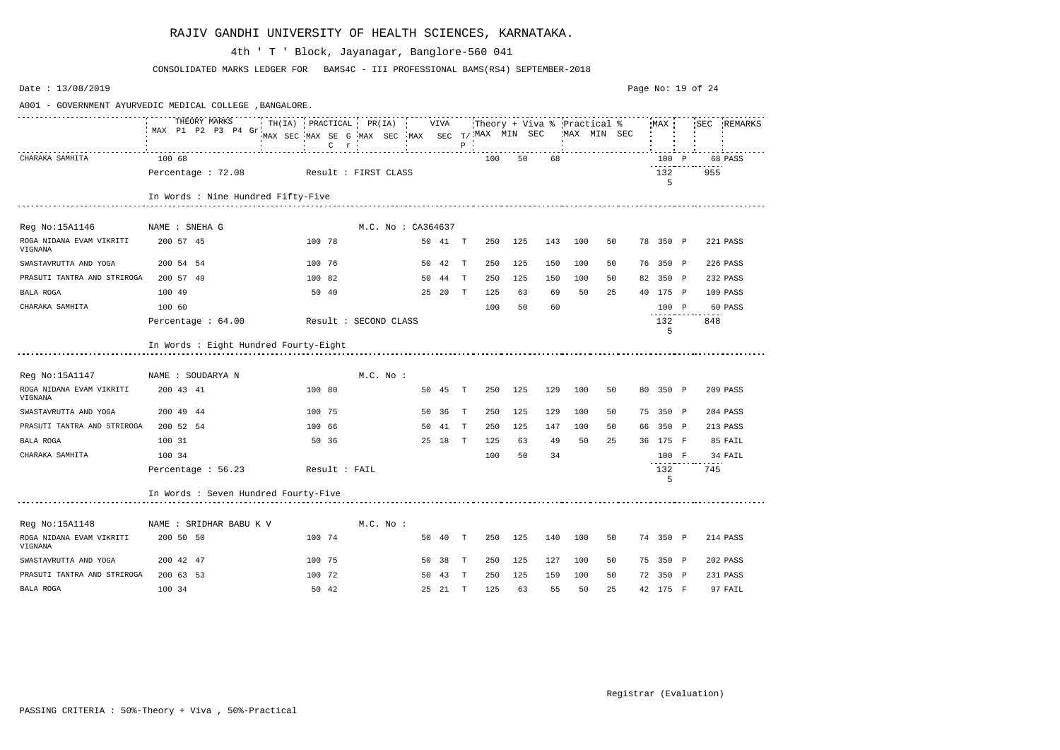| Date: $13/08/2019$                  |                                                          |                                                                                            |                   |    |              |         |     |     |                                            |    |    |          | Page No: 19 of 24 |             |
|-------------------------------------|----------------------------------------------------------|--------------------------------------------------------------------------------------------|-------------------|----|--------------|---------|-----|-----|--------------------------------------------|----|----|----------|-------------------|-------------|
|                                     | A001 - GOVERNMENT AYURVEDIC MEDICAL COLLEGE , BANGALORE. |                                                                                            |                   |    |              |         |     |     |                                            |    |    |          |                   |             |
|                                     | THEORY MARKS<br>MAX P1 P2 P3 P4 Gr.                      | TH(IA) PRACTICAL PR(IA) VIVA<br>MAX SEC MAX SE G MAX SEC MAX SEC T/ MAX MIN SEC<br>$C$ $r$ |                   |    | $\, {\bf P}$ |         |     |     | Theory + Viva % Practical %<br>MAX MIN SEC |    |    | MAX      |                   | SEC REMARKS |
| CHARAKA SAMHITA                     | 100 68                                                   |                                                                                            |                   |    |              | 100     | 50  | 68  |                                            |    |    | 100 P    |                   | 68 PASS     |
|                                     | Percentage : 72.08                                       | Result : FIRST CLASS                                                                       |                   |    |              |         |     |     |                                            |    |    | 132<br>5 | 955               |             |
|                                     | In Words : Nine Hundred Fifty-Five                       |                                                                                            |                   |    |              |         |     |     |                                            |    |    |          |                   |             |
| Reg No:15A1146                      | NAME : SNEHA G                                           |                                                                                            | M.C. No: CA364637 |    |              |         |     |     |                                            |    |    |          |                   |             |
| ROGA NIDANA EVAM VIKRITI<br>VIGNANA | 200 57 45                                                | 100 78                                                                                     | 50 41 T           |    |              | 250 125 |     | 143 | 100                                        | 50 |    | 78 350 P |                   | 221 PASS    |
| SWASTAVRUTTA AND YOGA               | 200 54 54                                                | 100 76                                                                                     | 50 42 T           |    |              | 250     | 125 | 150 | 100                                        | 50 |    | 76 350 P |                   | 226 PASS    |
| PRASUTI TANTRA AND STRIROGA         | 200 57 49                                                | 100 82                                                                                     | 50 44             |    | T            | 250     | 125 | 150 | 100                                        | 50 |    | 82 350 P |                   | 232 PASS    |
| BALA ROGA                           | 100 49                                                   | 50 40                                                                                      | 25 20 T           |    |              | 125     | 63  | 69  | 50                                         | 25 |    | 40 175 P |                   | 109 PASS    |
| CHARAKA SAMHITA                     | 100 60                                                   |                                                                                            |                   |    |              | 100     | 50  | 60  |                                            |    |    | 100 P    |                   | 60 PASS     |
|                                     | Percentage : 64.00                                       | Result : SECOND CLASS                                                                      |                   |    |              |         |     |     |                                            |    |    | 132<br>5 | 848               |             |
|                                     | In Words : Eight Hundred Fourty-Eight                    |                                                                                            |                   |    |              |         |     |     |                                            |    |    |          |                   |             |
| Reg No:15A1147                      | NAME : SOUDARYA N                                        | M.C. No.                                                                                   |                   |    |              |         |     |     |                                            |    |    |          |                   |             |
| ROGA NIDANA EVAM VIKRITI<br>VIGNANA | 200 43 41                                                | 100 80                                                                                     | 50 45 T           |    |              | 250     | 125 | 129 | 100                                        | 50 |    | 80 350 P |                   | 209 PASS    |
| SWASTAVRUTTA AND YOGA               | 200 49 44                                                | 100 75                                                                                     | 50 36             |    | T            | 250     | 125 | 129 | 100                                        | 50 |    | 75 350 P |                   | 204 PASS    |
| PRASUTI TANTRA AND STRIROGA         | 200 52 54                                                | 100 66                                                                                     | 50                | 41 | T            | 250     | 125 | 147 | 100                                        | 50 | 66 | 350 P    |                   | 213 PASS    |
| BALA ROGA                           | 100 31                                                   | 50 36                                                                                      | 25 18             |    | $\mathbf{T}$ | 125     | 63  | 49  | 50                                         | 25 |    | 36 175 F |                   | 85 FAIL     |
| CHARAKA SAMHITA                     | 100 34                                                   |                                                                                            |                   |    |              | 100     | 50  | 34  |                                            |    |    | 100 F    |                   | 34 FAIL     |
|                                     | Percentage : 56.23                                       | Result : FAIL                                                                              |                   |    |              |         |     |     |                                            |    |    | 132<br>5 | 745               |             |
|                                     | In Words : Seven Hundred Fourty-Five                     |                                                                                            |                   |    |              |         |     |     |                                            |    |    |          |                   |             |
| Reg No:15A1148                      | NAME : SRIDHAR BABU K V                                  | $M.C.$ No :                                                                                |                   |    |              |         |     |     |                                            |    |    |          |                   |             |
| ROGA NIDANA EVAM VIKRITI<br>VIGNANA | 200 50 50                                                | 100 74                                                                                     | 50 40 T           |    |              | 250 125 |     | 140 | 100                                        | 50 |    | 74 350 P |                   | 214 PASS    |
| SWASTAVRUTTA AND YOGA               | 200 42 47                                                | 100 75                                                                                     | 50 38 T           |    |              | 250     | 125 | 127 | 100                                        | 50 |    | 75 350 P |                   | 202 PASS    |
| PRASUTI TANTRA AND STRIROGA         | 200 63 53                                                | 100 72                                                                                     | 50 43 T           |    |              | 250     | 125 | 159 | 100                                        | 50 |    | 72 350 P |                   | 231 PASS    |
| BALA ROGA                           | 100 34                                                   | 50 42                                                                                      | 25 21 T           |    |              | 125     | 63  | 55  | 50                                         | 25 |    | 42 175 F |                   | 97 FAIL     |

CONSOLIDATED MARKS LEDGER FOR BAMS4C - III PROFESSIONAL BAMS(RS4) SEPTEMBER-2018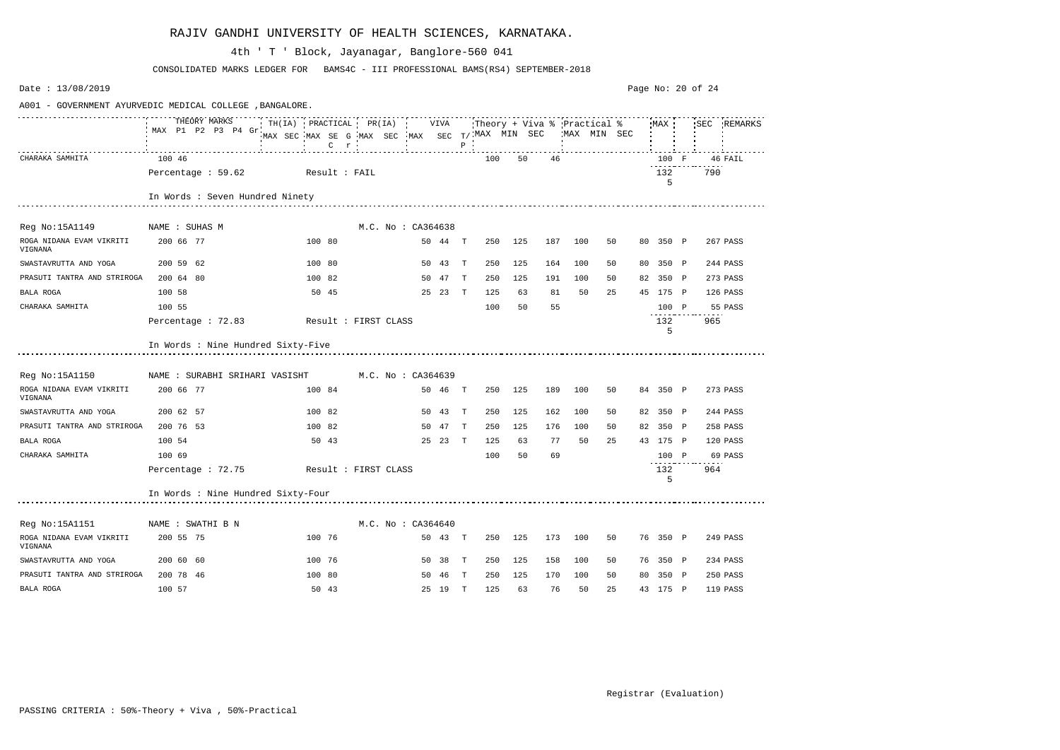| Date: 13/08/2019                                        |                                    |                                                                                                                 |                    |         |              |                             |     |     |     |              |          | Page No: 20 of 24 |             |
|---------------------------------------------------------|------------------------------------|-----------------------------------------------------------------------------------------------------------------|--------------------|---------|--------------|-----------------------------|-----|-----|-----|--------------|----------|-------------------|-------------|
| A001 - GOVERNMENT AYURVEDIC MEDICAL COLLEGE, BANGALORE. |                                    |                                                                                                                 |                    |         |              |                             |     |     |     |              |          |                   |             |
|                                                         | MAX P1 P2 P3 P4 Gr.                | THEORY MARKS TH(IA) PRACTICAL PR(IA) VIVA<br>MAX SEC MAX SE G MAX SEC MAX SEC T/ MAX MIN SEC<br>$C$ $r$ $\cdot$ |                    |         | $\, {\bf P}$ | Theory + Viva % Practical % |     |     |     | 'MAX MIN SEC | MAX      |                   | SEC REMARKS |
| CHARAKA SAMHITA                                         | 100 46                             |                                                                                                                 |                    |         |              | 100                         | 50  | 46  |     |              | 100 F    |                   | 46 FAIL     |
|                                                         | Percentage $: 59.62$               | Result : FAIL                                                                                                   |                    |         |              |                             |     |     |     |              | 132<br>5 | 790               |             |
|                                                         | In Words : Seven Hundred Ninety    |                                                                                                                 |                    |         |              |                             |     |     |     |              |          |                   |             |
| Reg No:15A1149                                          | NAME : SUHAS M                     |                                                                                                                 | M.C. No : CA364638 |         |              |                             |     |     |     |              |          |                   |             |
| ROGA NIDANA EVAM VIKRITI<br>VIGNANA                     | 200 66 77                          | 100 80                                                                                                          |                    | 50 44 T |              | 250                         | 125 | 187 | 100 | 50           | 80 350 P |                   | 267 PASS    |
| SWASTAVRUTTA AND YOGA                                   | 200 59 62                          | 100 80                                                                                                          |                    | 50 43 T |              | 250                         | 125 | 164 | 100 | 50           | 80 350 P |                   | 244 PASS    |
| PRASUTI TANTRA AND STRIROGA                             | 200 64 80                          | 100 82                                                                                                          |                    | 50 47   | $\mathbf{T}$ | 250                         | 125 | 191 | 100 | 50           | 82 350 P |                   | 273 PASS    |
| BALA ROGA                                               | 100 58                             | 50 45                                                                                                           |                    | 25 23 T |              | 125                         | 63  | 81  | 50  | 25           | 45 175 P |                   | 126 PASS    |
| CHARAKA SAMHITA                                         | 100 55                             |                                                                                                                 |                    |         |              | 100                         | 50  | 55  |     |              | 100 P    |                   | 55 PASS     |
|                                                         | Percentage : 72.83                 | Result : FIRST CLASS                                                                                            |                    |         |              |                             |     |     |     |              | 132<br>5 | 965               |             |
|                                                         | In Words : Nine Hundred Sixty-Five |                                                                                                                 |                    |         |              |                             |     |     |     |              |          |                   |             |
| Reg No:15A1150                                          | NAME : SURABHI SRIHARI VASISHT     |                                                                                                                 | M.C. No : CA364639 |         |              |                             |     |     |     |              |          |                   |             |
| ROGA NIDANA EVAM VIKRITI<br>VIGNANA                     | 200 66 77                          | 100 84                                                                                                          |                    | 50 46 T |              | 250                         | 125 | 189 | 100 | 50           | 84 350 P |                   | 273 PASS    |
| SWASTAVRUTTA AND YOGA                                   | 200 62 57                          | 100 82                                                                                                          |                    | 50 43   | $\mathbf{T}$ | 250                         | 125 | 162 | 100 | 50           | 82 350 P |                   | 244 PASS    |
| PRASUTI TANTRA AND STRIROGA                             | 200 76 53                          | 100 82                                                                                                          |                    | 50 47   | T            | 250                         | 125 | 176 | 100 | 50           | 82 350 P |                   | 258 PASS    |
| BALA ROGA                                               | 100 54                             | 50 43                                                                                                           |                    | 25 23 T |              | 125                         | 63  | 77  | 50  | 25           | 43 175 P |                   | 120 PASS    |
| CHARAKA SAMHITA                                         | 100 69                             |                                                                                                                 |                    |         |              | 100                         | 50  | 69  |     |              | 100 P    |                   | 69 PASS     |
|                                                         | Percentage : 72.75                 | Result : FIRST CLASS                                                                                            |                    |         |              |                             |     |     |     |              | 132<br>5 | 964               |             |
|                                                         | In Words : Nine Hundred Sixty-Four |                                                                                                                 |                    |         |              |                             |     |     |     |              |          |                   |             |
| Reg No:15A1151                                          | NAME : SWATHI B N                  |                                                                                                                 | M.C. No : CA364640 |         |              |                             |     |     |     |              |          |                   |             |
| ROGA NIDANA EVAM VIKRITI<br>VIGNANA                     | 200 55 75                          | 100 76                                                                                                          |                    | 50 43 T |              | 250                         | 125 | 173 | 100 | 50           | 76 350 P |                   | 249 PASS    |
| SWASTAVRUTTA AND YOGA                                   | 200 60 60                          | 100 76                                                                                                          |                    | 50 38 T |              | 250                         | 125 | 158 | 100 | 50           | 76 350 P |                   | 234 PASS    |
| PRASUTI TANTRA AND STRIROGA                             | 200 78 46                          | 100 80                                                                                                          |                    | 50 46 T |              | 250                         | 125 | 170 | 100 | 50           | 80 350 P |                   | 250 PASS    |
| BALA ROGA                                               | 100 57                             | 50 43                                                                                                           |                    | 25 19 T |              | 125                         | 63  | 76  | 50  | 25           | 43 175 P |                   | 119 PASS    |

CONSOLIDATED MARKS LEDGER FOR BAMS4C - III PROFESSIONAL BAMS(RS4) SEPTEMBER-2018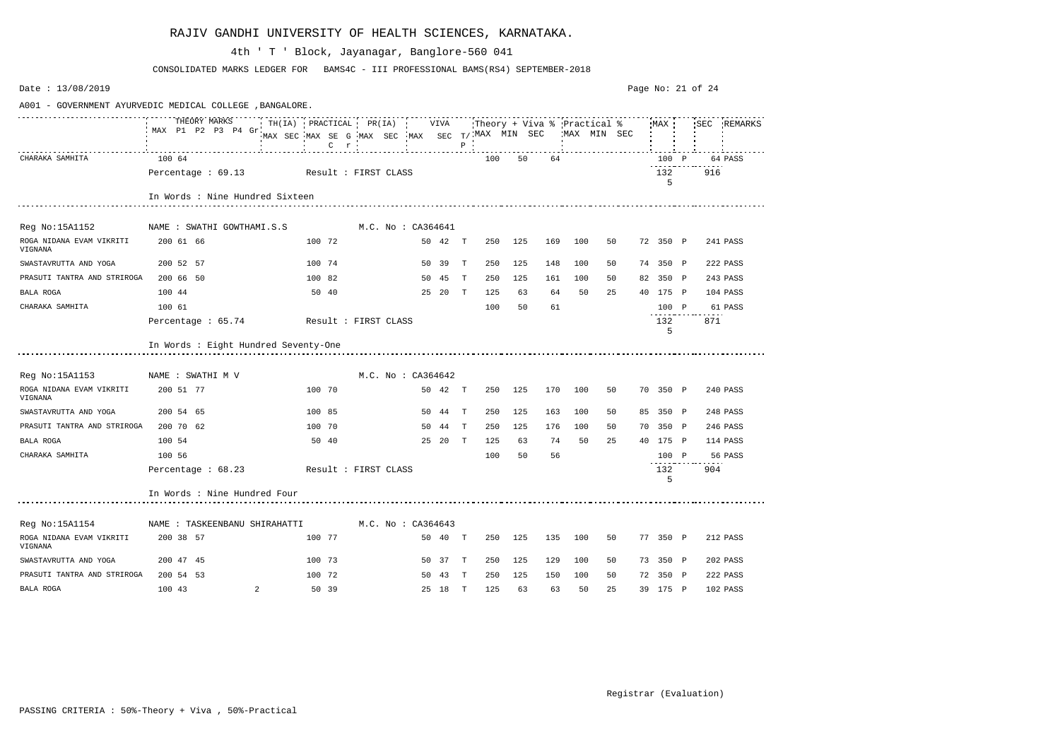| Date: 13/08/2019                                         |                                         |                |                                                                                                                                                                  |  |                    |         |              |     |     |     |     |    | Page No: 21 of 24 |           |     |             |
|----------------------------------------------------------|-----------------------------------------|----------------|------------------------------------------------------------------------------------------------------------------------------------------------------------------|--|--------------------|---------|--------------|-----|-----|-----|-----|----|-------------------|-----------|-----|-------------|
| A001 - GOVERNMENT AYURVEDIC MEDICAL COLLEGE , BANGALORE. |                                         |                |                                                                                                                                                                  |  |                    |         |              |     |     |     |     |    |                   |           |     |             |
|                                                          | THEORY MARKS<br>MAX P1 P2 P3 P4 Gr.     |                | MAX SEC MAX SE G MAX SEC MAX SEC $T/$ MAX MIN SEC WAX MIN SEC<br>$\frac{1}{2}$ $\ldots$ $\frac{1}{2}$ $\ldots$ $\ldots$ $\ldots$ $\ldots$ $\frac{1}{2}$ $\ldots$ |  |                    |         |              |     |     |     |     |    |                   |           |     | SEC REMARKS |
| CHARAKA SAMHITA                                          | 100 64                                  |                |                                                                                                                                                                  |  |                    |         |              | 100 | 50  | 64  |     |    |                   | 100 P     |     | 64 PASS     |
|                                                          | Percentage : 69.13 Result : FIRST CLASS |                |                                                                                                                                                                  |  |                    |         |              |     |     |     |     |    |                   | 132<br>5  | 916 |             |
|                                                          | In Words : Nine Hundred Sixteen         |                |                                                                                                                                                                  |  |                    |         |              |     |     |     |     |    |                   |           |     |             |
| Reg No:15A1152                                           | NAME : SWATHI GOWTHAMI.S.S              |                |                                                                                                                                                                  |  | M.C. No : CA364641 |         |              |     |     |     |     |    |                   |           |     |             |
| ROGA NIDANA EVAM VIKRITI<br>VIGNANA                      | 200 61 66                               |                | 100 72                                                                                                                                                           |  |                    | 50 42 T |              | 250 | 125 | 169 | 100 | 50 |                   | 72 350 P  |     | 241 PASS    |
| SWASTAVRUTTA AND YOGA                                    | 200 52 57                               |                | 100 74                                                                                                                                                           |  |                    | 50 39   | $\mathbb{T}$ | 250 | 125 | 148 | 100 | 50 |                   | 74 350 P  |     | 222 PASS    |
| PRASUTI TANTRA AND STRIROGA                              | 200 66 50                               |                | 100 82                                                                                                                                                           |  |                    | 50 45   | $\mathbf{T}$ | 250 | 125 | 161 | 100 | 50 |                   | 82 350 P  |     | 243 PASS    |
| BALA ROGA                                                | 100 44                                  |                | 50 40                                                                                                                                                            |  |                    | 25 20 T |              | 125 | 63  | 64  | 50  | 25 |                   | 40 175 P  |     | 104 PASS    |
| CHARAKA SAMHITA                                          | 100 61                                  |                |                                                                                                                                                                  |  |                    |         |              | 100 | 50  | 61  |     |    |                   | 100 P     |     | 61 PASS     |
|                                                          | Percentage : 65.74 Result : FIRST CLASS |                |                                                                                                                                                                  |  |                    |         |              |     |     |     |     |    |                   | 132<br>5  | 871 |             |
|                                                          | In Words : Eight Hundred Seventy-One    |                |                                                                                                                                                                  |  |                    |         |              |     |     |     |     |    |                   |           |     |             |
| Reg No:15A1153                                           | NAME : SWATHI M V                       |                |                                                                                                                                                                  |  | M.C. No: CA364642  |         |              |     |     |     |     |    |                   |           |     |             |
| ROGA NIDANA EVAM VIKRITI<br>VIGNANA                      | 200 51 77                               |                | 100 70                                                                                                                                                           |  |                    | 50 42 T |              | 250 | 125 | 170 | 100 | 50 |                   | 70 350 P  |     | 240 PASS    |
| SWASTAVRUTTA AND YOGA                                    | 200 54 65                               |                | 100 85                                                                                                                                                           |  |                    | 50 44   | $\mathbf{T}$ | 250 | 125 | 163 | 100 | 50 |                   | 85 350 P  |     | 248 PASS    |
| PRASUTI TANTRA AND STRIROGA                              | 200 70 62                               |                | 100 70                                                                                                                                                           |  |                    | 50 44   | T            | 250 | 125 | 176 | 100 | 50 |                   | 70 350 P  |     | 246 PASS    |
| BALA ROGA                                                | 100 54                                  |                | 50 40                                                                                                                                                            |  |                    | 25 20 T |              | 125 | 63  | 74  | 50  | 25 |                   | 40 175 P  |     | 114 PASS    |
| CHARAKA SAMHITA                                          | 100 56                                  |                |                                                                                                                                                                  |  |                    |         |              | 100 | 50  | 56  |     |    |                   | 100 P     |     | 56 PASS     |
|                                                          | Percentage $: 68.23$                    |                | Result : FIRST CLASS                                                                                                                                             |  |                    |         |              |     |     |     |     |    |                   | 132<br>-5 | 904 |             |
|                                                          | In Words : Nine Hundred Four            |                |                                                                                                                                                                  |  |                    |         |              |     |     |     |     |    |                   |           |     |             |
| Reg No:15A1154                                           | NAME : TASKEENBANU SHIRAHATTI           |                |                                                                                                                                                                  |  | M.C. No : CA364643 |         |              |     |     |     |     |    |                   |           |     |             |
| ROGA NIDANA EVAM VIKRITI<br>VIGNANA                      | 200 38 57                               |                | 100 77                                                                                                                                                           |  |                    | 50 40 T |              | 250 | 125 | 135 | 100 | 50 |                   | 77 350 P  |     | 212 PASS    |
| SWASTAVRUTTA AND YOGA                                    | 200 47 45                               |                | 100 73                                                                                                                                                           |  |                    | 50 37 T |              | 250 | 125 | 129 | 100 | 50 |                   | 73 350 P  |     | 202 PASS    |
| PRASUTI TANTRA AND STRIROGA                              | 200 54 53                               |                | 100 72                                                                                                                                                           |  |                    | 50 43   | $\mathbf{T}$ | 250 | 125 | 150 | 100 | 50 |                   | 72 350 P  |     | 222 PASS    |
| BALA ROGA                                                | 100 43                                  | $\overline{a}$ | 50 39                                                                                                                                                            |  |                    | 25 18 T |              | 125 | 63  | 63  | 50  | 25 |                   | 39 175 P  |     | 102 PASS    |

CONSOLIDATED MARKS LEDGER FOR BAMS4C - III PROFESSIONAL BAMS(RS4) SEPTEMBER-2018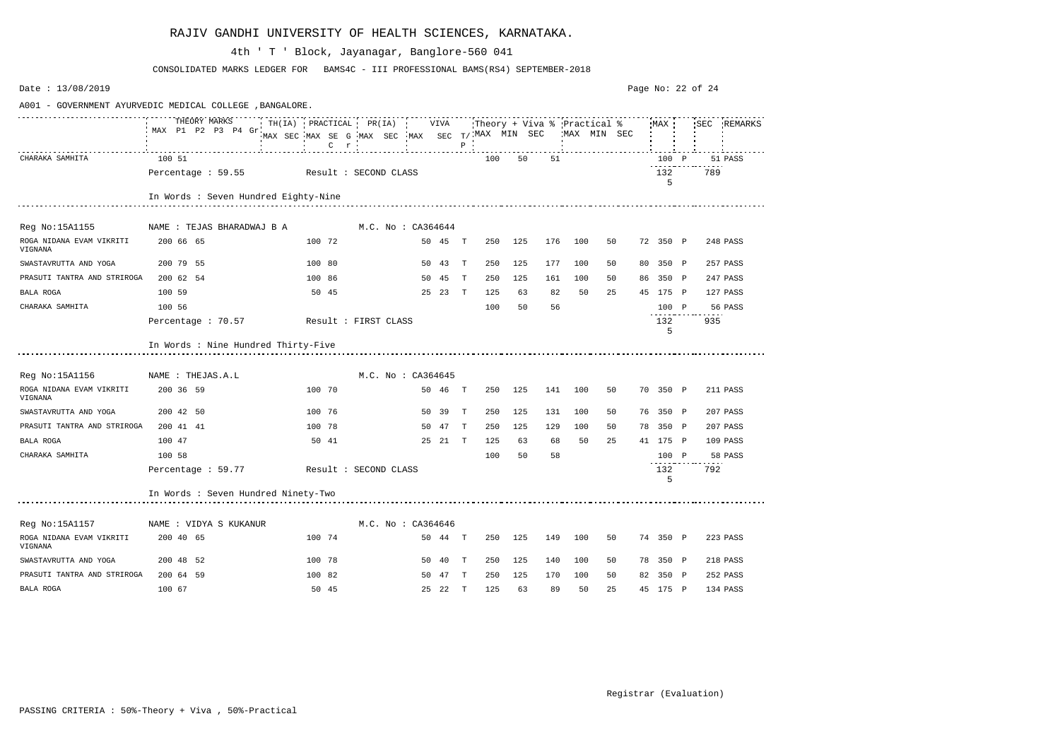| Date: 13/08/2019                                        |                                                                 |                                                            |                    |                               |         |              |     |         |     |                                            |    | Page No: 22 of 24 |          |     |             |
|---------------------------------------------------------|-----------------------------------------------------------------|------------------------------------------------------------|--------------------|-------------------------------|---------|--------------|-----|---------|-----|--------------------------------------------|----|-------------------|----------|-----|-------------|
| A001 - GOVERNMENT AYURVEDIC MEDICAL COLLEGE, BANGALORE. |                                                                 |                                                            |                    |                               |         |              |     |         |     |                                            |    |                   |          |     |             |
|                                                         | THEORY MARKS THITA) PRACTICAL PR(IA) VIVA<br>MAX P1 P2 P3 P4 Gr | MAX SEC MAX SE G MAX SEC MAX SEC T/ MAX MIN SEC<br>$C$ $r$ |                    | $\mathbf{R}$ and $\mathbf{R}$ |         | $\, {\bf P}$ |     |         |     | Theory + Viva % Practical %<br>MAX MIN SEC |    |                   | MAX      |     | SEC REMARKS |
| CHARAKA SAMHITA                                         | 100 51                                                          |                                                            |                    |                               |         |              | 100 | 50      | 51  |                                            |    |                   | 100 P    |     | 51 PASS     |
|                                                         | Percentage : 59.55 Result : SECOND CLASS                        |                                                            |                    |                               |         |              |     |         |     |                                            |    |                   | 132<br>5 | 789 |             |
|                                                         | In Words : Seven Hundred Eighty-Nine                            |                                                            |                    |                               |         |              |     |         |     |                                            |    |                   |          |     |             |
| Reg No:15A1155                                          | NAME : TEJAS BHARADWAJ B A                                      |                                                            | M.C. No : CA364644 |                               |         |              |     |         |     |                                            |    |                   |          |     |             |
| ROGA NIDANA EVAM VIKRITI<br>VIGNANA                     | 200 66 65                                                       | 100 72                                                     |                    |                               | 50 45 T |              | 250 | 125     | 176 | 100                                        | 50 |                   | 72 350 P |     | 248 PASS    |
| SWASTAVRUTTA AND YOGA                                   | 200 79 55                                                       | 100 80                                                     |                    |                               | 50 43 T |              | 250 | 125     | 177 | 100                                        | 50 |                   | 80 350 P |     | 257 PASS    |
| PRASUTI TANTRA AND STRIROGA                             | 200 62 54                                                       | 100 86                                                     |                    |                               | 50 45   | T            | 250 | 125     | 161 | 100                                        | 50 |                   | 86 350 P |     | 247 PASS    |
| BALA ROGA                                               | 100 59                                                          | 50 45                                                      |                    |                               | 25 23 T |              | 125 | 63      | 82  | 50                                         | 25 |                   | 45 175 P |     | 127 PASS    |
| CHARAKA SAMHITA                                         | 100 56                                                          |                                                            |                    |                               |         |              | 100 | 50      | 56  |                                            |    |                   | 100 P    |     | 56 PASS     |
|                                                         | Percentage : 70.57                                              | Result : FIRST CLASS                                       |                    |                               |         |              |     |         |     |                                            |    |                   | 132<br>5 | 935 |             |
|                                                         | In Words : Nine Hundred Thirty-Five                             |                                                            |                    |                               |         |              |     |         |     |                                            |    |                   |          |     |             |
| Reg No:15A1156                                          | NAME : THEJAS.A.L                                               |                                                            |                    | M.C. No: CA364645             |         |              |     |         |     |                                            |    |                   |          |     |             |
| ROGA NIDANA EVAM VIKRITI<br>VIGNANA                     | 200 36 59                                                       | 100 70                                                     |                    |                               | 50 46   | $\mathbf{T}$ | 250 | 125     | 141 | 100                                        | 50 |                   | 70 350 P |     | 211 PASS    |
| SWASTAVRUTTA AND YOGA                                   | 200 42 50                                                       | 100 76                                                     |                    |                               | 50 39   | T            | 250 | 125     | 131 | 100                                        | 50 |                   | 76 350 P |     | 207 PASS    |
| PRASUTI TANTRA AND STRIROGA                             | 200 41 41                                                       | 100 78                                                     |                    |                               | 50 47   | $\mathbf{T}$ | 250 | 125     | 129 | 100                                        | 50 |                   | 78 350 P |     | 207 PASS    |
| BALA ROGA                                               | 100 47                                                          | 50 41                                                      |                    |                               | 25 21 T |              | 125 | 63      | 68  | 50                                         | 25 |                   | 41 175 P |     | 109 PASS    |
| CHARAKA SAMHITA                                         | 100 58                                                          |                                                            |                    |                               |         |              | 100 | 50      | 58  |                                            |    |                   | 100 P    |     | 58 PASS     |
|                                                         | Percentage : 59.77                                              | Result : SECOND CLASS                                      |                    |                               |         |              |     |         |     |                                            |    |                   | 132<br>5 | 792 |             |
|                                                         | In Words : Seven Hundred Ninety-Two                             |                                                            |                    |                               |         |              |     |         |     |                                            |    |                   |          |     |             |
| Reg No:15A1157                                          | NAME : VIDYA S KUKANUR                                          |                                                            |                    | M.C. No: CA364646             |         |              |     |         |     |                                            |    |                   |          |     |             |
| ROGA NIDANA EVAM VIKRITI<br>VIGNANA                     | 200 40 65                                                       | 100 74                                                     |                    |                               | 50 44 T |              |     | 250 125 | 149 | 100                                        | 50 |                   | 74 350 P |     | 223 PASS    |
| SWASTAVRUTTA AND YOGA                                   | 200 48 52                                                       | 100 78                                                     |                    |                               | 50 40 T |              | 250 | 125     | 140 | 100                                        | 50 |                   | 78 350 P |     | 218 PASS    |
| PRASUTI TANTRA AND STRIROGA                             | 200 64 59                                                       | 100 82                                                     |                    |                               | 50 47 T |              | 250 | 125     | 170 | 100                                        | 50 |                   | 82 350 P |     | 252 PASS    |
| BALA ROGA                                               | 100 67                                                          | 50 45                                                      |                    |                               | 25 22 T |              | 125 | 63      | 89  | 50                                         | 25 |                   | 45 175 P |     | 134 PASS    |

CONSOLIDATED MARKS LEDGER FOR BAMS4C - III PROFESSIONAL BAMS(RS4) SEPTEMBER-2018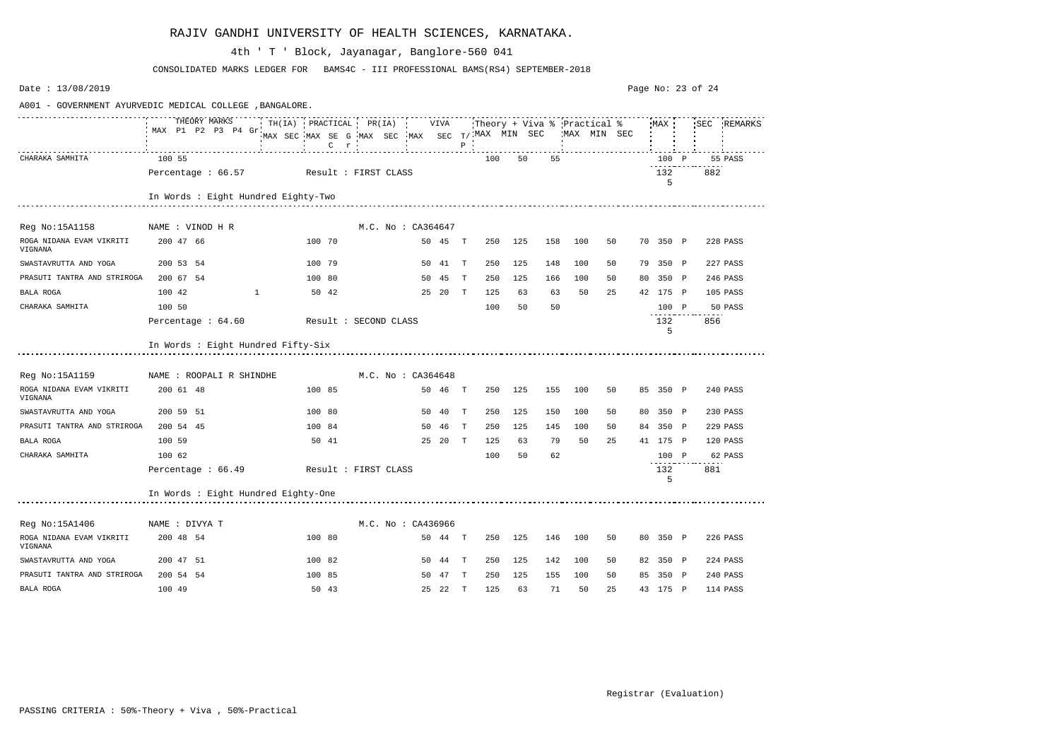| Date: $13/08/2019$                                       |                                                                                                       |                       |                                                                      |  |                    |         |              |     |         |     |     |              |          | Page No: 23 of 24 |             |
|----------------------------------------------------------|-------------------------------------------------------------------------------------------------------|-----------------------|----------------------------------------------------------------------|--|--------------------|---------|--------------|-----|---------|-----|-----|--------------|----------|-------------------|-------------|
| A001 - GOVERNMENT AYURVEDIC MEDICAL COLLEGE , BANGALORE. |                                                                                                       |                       |                                                                      |  |                    |         |              |     |         |     |     |              |          |                   |             |
|                                                          | THEORY MARKS THILLA) PRACTICAL PR(IA) VIVA Theory + Viva % Practical % MAX SEC<br>MAX P1 P2 P3 P4 Gr. |                       | MAX SEC MAX SE G MAX SEC MAX SEC $T/$ MAX MIN SEC<br>$C$ $r$ $\cdot$ |  |                    |         | $P$ $\vdots$ |     |         |     |     | 'MAX MIN SEC |          |                   | SEC REMARKS |
| CHARAKA SAMHITA                                          | 100 55                                                                                                |                       |                                                                      |  |                    |         |              | 100 | 50      | 55  |     |              | 100 P    |                   | 55 PASS     |
|                                                          | Percentage: 66.57 Result: FIRST CLASS                                                                 |                       |                                                                      |  |                    |         |              |     |         |     |     |              | 132<br>5 | 882               |             |
|                                                          | In Words : Eight Hundred Eighty-Two                                                                   |                       |                                                                      |  |                    |         |              |     |         |     |     |              |          |                   |             |
| Reg No:15A1158                                           | NAME : VINOD H R                                                                                      |                       |                                                                      |  | M.C. No : CA364647 |         |              |     |         |     |     |              |          |                   |             |
| ROGA NIDANA EVAM VIKRITI<br>VIGNANA                      | 200 47 66                                                                                             |                       | 100 70                                                               |  |                    | 50 45 T |              | 250 | 125     | 158 | 100 | 50           | 70 350 P |                   | 228 PASS    |
| SWASTAVRUTTA AND YOGA                                    | 200 53 54                                                                                             |                       | 100 79                                                               |  |                    | 50 41 T |              | 250 | 125     | 148 | 100 | 50           | 79 350 P |                   | 227 PASS    |
| PRASUTI TANTRA AND STRIROGA                              | 200 67 54                                                                                             |                       | 100 80                                                               |  |                    | 50 45   | $\mathbb{T}$ | 250 | 125     | 166 | 100 | 50           | 80 350 P |                   | 246 PASS    |
| BALA ROGA                                                | 100 42                                                                                                |                       | 50 42                                                                |  |                    | 25 20 T |              | 125 | 63      | 63  | 50  | 25           | 42 175 P |                   | 105 PASS    |
| CHARAKA SAMHITA                                          | 100 50                                                                                                |                       |                                                                      |  |                    |         |              | 100 | 50      | 50  |     |              | 100 P    |                   | 50 PASS     |
|                                                          | Percentage : 64.60                                                                                    | Result : SECOND CLASS |                                                                      |  |                    |         |              |     |         |     |     |              | 132<br>5 | 856               |             |
|                                                          | In Words : Eight Hundred Fifty-Six                                                                    |                       |                                                                      |  |                    |         |              |     |         |     |     |              |          |                   |             |
| Reg No:15A1159                                           | NAME : ROOPALI R SHINDHE                                                                              |                       |                                                                      |  | M.C. No: CA364648  |         |              |     |         |     |     |              |          |                   |             |
| ROGA NIDANA EVAM VIKRITI<br>VIGNANA                      | 200 61 48                                                                                             |                       | 100 85                                                               |  |                    | 50 46 T |              |     | 250 125 | 155 | 100 | 50           | 85 350 P |                   | 240 PASS    |
| SWASTAVRUTTA AND YOGA                                    | 200 59 51                                                                                             |                       | 100 80                                                               |  |                    | 50 40   | T            | 250 | 125     | 150 | 100 | 50           | 80 350 P |                   | 230 PASS    |
| PRASUTI TANTRA AND STRIROGA                              | 200 54 45                                                                                             |                       | 100 84                                                               |  |                    | 50 46   | T            | 250 | 125     | 145 | 100 | 50           | 84 350 P |                   | 229 PASS    |
| BALA ROGA                                                | 100 59                                                                                                |                       | 50 41                                                                |  |                    | 25 20 T |              | 125 | 63      | 79  | 50  | 25           | 41 175 P |                   | 120 PASS    |
| CHARAKA SAMHITA                                          | 100 62                                                                                                |                       |                                                                      |  |                    |         |              | 100 | 50      | 62  |     |              | 100 P    |                   | 62 PASS     |
|                                                          | Percentage : 66.49                                                                                    | Result : FIRST CLASS  |                                                                      |  |                    |         |              |     |         |     |     |              | 132<br>5 | 881               |             |
|                                                          | In Words : Eight Hundred Eighty-One                                                                   |                       |                                                                      |  |                    |         |              |     |         |     |     |              |          |                   |             |
| Reg No:15A1406                                           | NAME : DIVYA T                                                                                        |                       |                                                                      |  | M.C. No : CA436966 |         |              |     |         |     |     |              |          |                   |             |
| ROGA NIDANA EVAM VIKRITI<br>VIGNANA                      | 200 48 54                                                                                             |                       | 100 80                                                               |  |                    | 50 44 T |              | 250 | 125     | 146 | 100 | 50           | 80 350 P |                   | 226 PASS    |
| SWASTAVRUTTA AND YOGA                                    | 200 47 51                                                                                             |                       | 100 82                                                               |  |                    | 50 44 T |              | 250 | 125     | 142 | 100 | 50           | 82 350 P |                   | 224 PASS    |
| PRASUTI TANTRA AND STRIROGA                              | 200 54 54                                                                                             |                       | 100 85                                                               |  |                    | 50 47 T |              | 250 | 125     | 155 | 100 | 50           | 85 350 P |                   | 240 PASS    |
| BALA ROGA                                                | 100 49                                                                                                |                       | 50 43                                                                |  |                    | 25 22 T |              | 125 | 63      | 71  | 50  | 25           | 43 175 P |                   | 114 PASS    |

CONSOLIDATED MARKS LEDGER FOR BAMS4C - III PROFESSIONAL BAMS(RS4) SEPTEMBER-2018